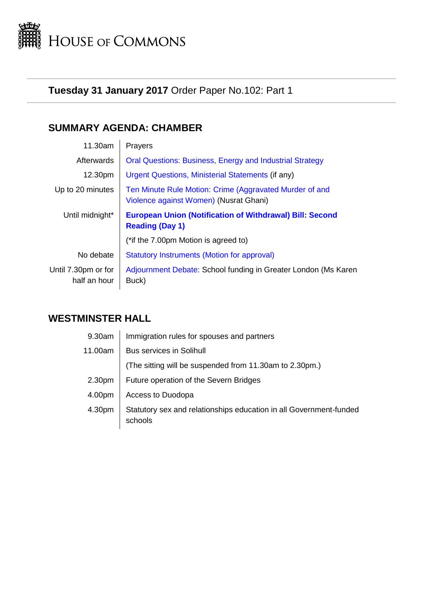

# **Tuesday 31 January 2017** Order Paper No.102: Part 1

# **SUMMARY AGENDA: CHAMBER**

| 11.30am                             | Prayers                                                                                           |
|-------------------------------------|---------------------------------------------------------------------------------------------------|
| Afterwards                          | <b>Oral Questions: Business, Energy and Industrial Strategy</b>                                   |
| 12.30pm                             | Urgent Questions, Ministerial Statements (if any)                                                 |
| Up to 20 minutes                    | Ten Minute Rule Motion: Crime (Aggravated Murder of and<br>Violence against Women) (Nusrat Ghani) |
| Until midnight*                     | <b>European Union (Notification of Withdrawal) Bill: Second</b><br><b>Reading (Day 1)</b>         |
|                                     | (*if the 7.00pm Motion is agreed to)                                                              |
| No debate                           | <b>Statutory Instruments (Motion for approval)</b>                                                |
| Until 7.30pm or for<br>half an hour | Adjournment Debate: School funding in Greater London (Ms Karen<br>Buck)                           |

# **WESTMINSTER HALL**

| 9.30am             | Immigration rules for spouses and partners                                    |
|--------------------|-------------------------------------------------------------------------------|
| 11.00am            | <b>Bus services in Solihull</b>                                               |
|                    | (The sitting will be suspended from 11.30am to 2.30pm.)                       |
| 2.30 <sub>pm</sub> | Future operation of the Severn Bridges                                        |
| 4.00pm             | Access to Duodopa                                                             |
| 4.30pm             | Statutory sex and relationships education in all Government-funded<br>schools |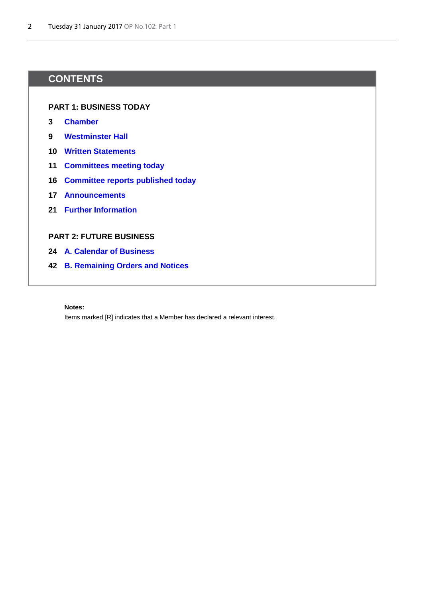# **CONTENTS**

# **PART 1: BUSINESS TODAY**

- **[3](#page-2-1) [Chamber](#page-2-2)**
- **[9](#page-8-0) [Westminster Hall](#page-8-1)**
- **[10](#page-9-0) [Written Statements](#page-9-1)**
- **[11](#page-10-0) [Committees meeting today](#page-10-1)**
- **[16](#page-15-0) [Committee reports published today](#page-15-1)**
- **[17](#page-16-0) [Announcements](#page-16-1)**
- **[21](#page-20-0) [Further Information](#page-20-0)**

# **PART 2: FUTURE BUSINESS**

- **[24](#page-23-0) [A. Calendar of Business](#page-23-1)**
- **[42](#page-41-0) [B. Remaining Orders and Notices](#page-41-1)**

#### **Notes:**

Items marked [R] indicates that a Member has declared a relevant interest.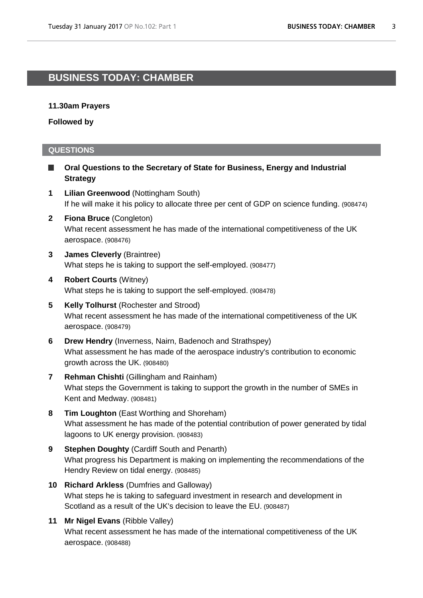# <span id="page-2-2"></span><span id="page-2-1"></span>**BUSINESS TODAY: CHAMBER**

# **11.30am Prayers**

**Followed by**

# **QUESTIONS**

- <span id="page-2-0"></span>**Oral Questions to the Secretary of State for Business, Energy and Industrial**  Ш **Strategy**
- **1 Lilian Greenwood** (Nottingham South) If he will make it his policy to allocate three per cent of GDP on science funding. (908474)
- **2 Fiona Bruce** (Congleton) What recent assessment he has made of the international competitiveness of the UK aerospace. (908476)
- **3 James Cleverly** (Braintree) What steps he is taking to support the self-employed. (908477)
- **4 Robert Courts** (Witney) What steps he is taking to support the self-employed. (908478)
- **5 Kelly Tolhurst** (Rochester and Strood) What recent assessment he has made of the international competitiveness of the UK aerospace. (908479)
- **6 Drew Hendry** (Inverness, Nairn, Badenoch and Strathspey) What assessment he has made of the aerospace industry's contribution to economic growth across the UK. (908480)
- **7 Rehman Chishti** (Gillingham and Rainham) What steps the Government is taking to support the growth in the number of SMEs in Kent and Medway. (908481)
- **8 Tim Loughton** (East Worthing and Shoreham) What assessment he has made of the potential contribution of power generated by tidal lagoons to UK energy provision. (908483)
- **9 Stephen Doughty** (Cardiff South and Penarth) What progress his Department is making on implementing the recommendations of the Hendry Review on tidal energy. (908485)
- **10 Richard Arkless** (Dumfries and Galloway) What steps he is taking to safeguard investment in research and development in Scotland as a result of the UK's decision to leave the EU. (908487)
- **11 Mr Nigel Evans** (Ribble Valley) What recent assessment he has made of the international competitiveness of the UK aerospace. (908488)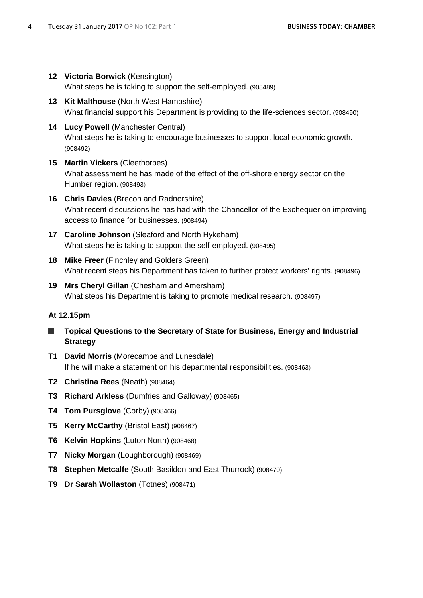**12 Victoria Borwick** (Kensington)

What steps he is taking to support the self-employed. (908489)

- **13 Kit Malthouse** (North West Hampshire) What financial support his Department is providing to the life-sciences sector. (908490)
- **14 Lucy Powell** (Manchester Central) What steps he is taking to encourage businesses to support local economic growth. (908492)
- **15 Martin Vickers** (Cleethorpes) What assessment he has made of the effect of the off-shore energy sector on the Humber region. (908493)
- **16 Chris Davies** (Brecon and Radnorshire) What recent discussions he has had with the Chancellor of the Exchequer on improving access to finance for businesses. (908494)
- **17 Caroline Johnson** (Sleaford and North Hykeham) What steps he is taking to support the self-employed. (908495)
- **18 Mike Freer** (Finchley and Golders Green) What recent steps his Department has taken to further protect workers' rights. (908496)
- **19 Mrs Cheryl Gillan** (Chesham and Amersham) What steps his Department is taking to promote medical research. (908497)

# **At 12.15pm**

- **Topical Questions to the Secretary of State for Business, Energy and Industrial Strategy**
- **T1 David Morris** (Morecambe and Lunesdale) If he will make a statement on his departmental responsibilities. (908463)
- **T2 Christina Rees** (Neath) (908464)
- **T3 Richard Arkless** (Dumfries and Galloway) (908465)
- **T4 Tom Pursglove** (Corby) (908466)
- **T5 Kerry McCarthy** (Bristol East) (908467)
- **T6 Kelvin Hopkins** (Luton North) (908468)
- **T7 Nicky Morgan** (Loughborough) (908469)
- **T8 Stephen Metcalfe** (South Basildon and East Thurrock) (908470)
- **T9 Dr Sarah Wollaston** (Totnes) (908471)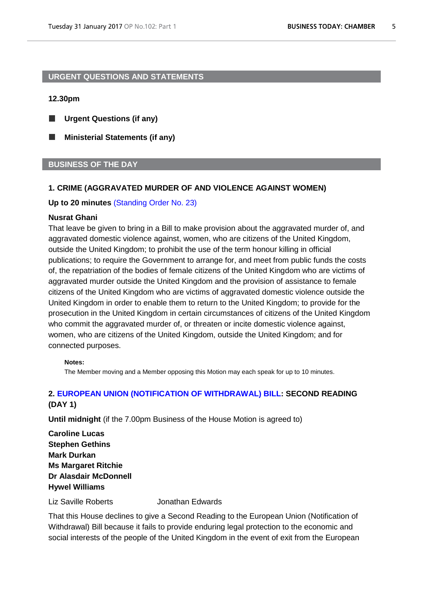# <span id="page-4-0"></span>**URGENT QUESTIONS AND STATEMENTS**

# **12.30pm**

- ш **Urgent Questions (if any)**
- г **Ministerial Statements (if any)**

# **BUSINESS OF THE DAY**

# <span id="page-4-1"></span>**1. CRIME (AGGRAVATED MURDER OF AND VIOLENCE AGAINST WOMEN)**

### **Up to 20 minutes** [\(Standing Order No. 23\)](http://www.publications.parliament.uk/pa/cm201516/cmstords/0002/body.htm#23)

### **Nusrat Ghani**

That leave be given to bring in a Bill to make provision about the aggravated murder of, and aggravated domestic violence against, women, who are citizens of the United Kingdom, outside the United Kingdom; to prohibit the use of the term honour killing in official publications; to require the Government to arrange for, and meet from public funds the costs of, the repatriation of the bodies of female citizens of the United Kingdom who are victims of aggravated murder outside the United Kingdom and the provision of assistance to female citizens of the United Kingdom who are victims of aggravated domestic violence outside the United Kingdom in order to enable them to return to the United Kingdom; to provide for the prosecution in the United Kingdom in certain circumstances of citizens of the United Kingdom who commit the aggravated murder of, or threaten or incite domestic violence against, women, who are citizens of the United Kingdom, outside the United Kingdom; and for connected purposes.

#### **Notes:**

The Member moving and a Member opposing this Motion may each speak for up to 10 minutes.

# <span id="page-4-2"></span>**2. [EUROPEAN UNION \(NOTIFICATION OF WITHDRAWAL\) BILL:](http://www.publications.parliament.uk/pa/bills/cbill/2016-2017/0132/17132.pdf) SECOND READING (DAY 1)**

**Until midnight** (if the 7.00pm Business of the House Motion is agreed to)

**Caroline Lucas Stephen Gethins Mark Durkan Ms Margaret Ritchie Dr Alasdair McDonnell Hywel Williams**

Liz Saville Roberts Jonathan Edwards

That this House declines to give a Second Reading to the European Union (Notification of Withdrawal) Bill because it fails to provide enduring legal protection to the economic and social interests of the people of the United Kingdom in the event of exit from the European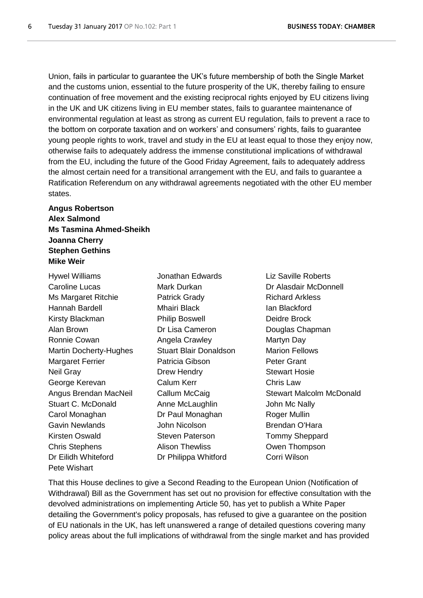Union, fails in particular to guarantee the UK's future membership of both the Single Market and the customs union, essential to the future prosperity of the UK, thereby failing to ensure continuation of free movement and the existing reciprocal rights enjoyed by EU citizens living in the UK and UK citizens living in EU member states, fails to guarantee maintenance of environmental regulation at least as strong as current EU regulation, fails to prevent a race to the bottom on corporate taxation and on workers' and consumers' rights, fails to guarantee young people rights to work, travel and study in the EU at least equal to those they enjoy now, otherwise fails to adequately address the immense constitutional implications of withdrawal from the EU, including the future of the Good Friday Agreement, fails to adequately address the almost certain need for a transitional arrangement with the EU, and fails to guarantee a Ratification Referendum on any withdrawal agreements negotiated with the other EU member states.

# **Angus Robertson Alex Salmond Ms Tasmina Ahmed-Sheikh Joanna Cherry Stephen Gethins Mike Weir**

Hywel Williams Jonathan Edwards Liz Saville Roberts Caroline Lucas Mark Durkan Dr Alasdair McDonnell Ms Margaret Ritchie **Patrick Grady Communist Patrick Grady** Richard Arkless Hannah Bardell Mhairi Black Ian Blackford Kirsty Blackman **Philip Boswell** Deidre Brock Alan Brown **Dr Lisa Cameron** Douglas Chapman Ronnie Cowan **Angela Crawley** Martyn Day Martin Docherty-Hughes Stuart Blair Donaldson Marion Fellows Margaret Ferrier **Patricia Gibson** Peter Grant Neil Gray **Drew Hendry Drew Hendry** Stewart Hosie George Kerevan Calum Kerr Care Chris Law Stuart C. McDonald **Anne McLaughlin** John Mc Nally Carol Monaghan **Dr Paul Monaghan** Roger Mullin Gavin Newlands **John Nicolson** Brendan O'Hara Kirsten Oswald Steven Paterson Tommy Sheppard Chris Stephens Alison Thewliss Owen Thompson Dr Eilidh Whiteford Dr Philippa Whitford Corri Wilson Pete Wishart

Angus Brendan MacNeil Callum McCaig Stewart Malcolm McDonald

That this House declines to give a Second Reading to the European Union (Notification of Withdrawal) Bill as the Government has set out no provision for effective consultation with the devolved administrations on implementing Article 50, has yet to publish a White Paper detailing the Government's policy proposals, has refused to give a guarantee on the position of EU nationals in the UK, has left unanswered a range of detailed questions covering many policy areas about the full implications of withdrawal from the single market and has provided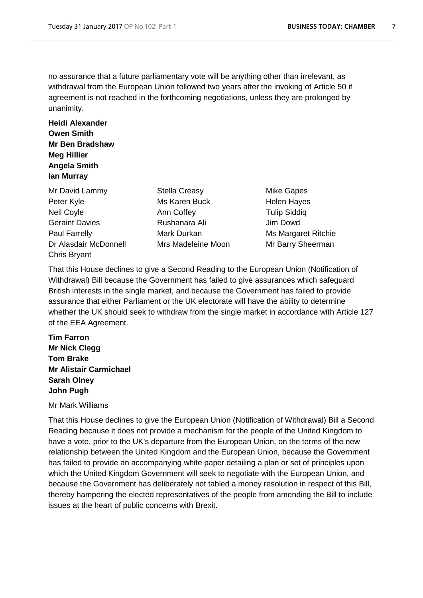no assurance that a future parliamentary vote will be anything other than irrelevant, as withdrawal from the European Union followed two years after the invoking of Article 50 if agreement is not reached in the forthcoming negotiations, unless they are prolonged by unanimity.

# **Heidi Alexander Owen Smith Mr Ben Bradshaw Meg Hillier Angela Smith Ian Murray**

- Mr David Lammy Stella Creasy **Mike Gapes** Peter Kyle Ms Karen Buck Helen Hayes Neil Coyle **Ann Coffey Announce Ann Coffey Tulip Siddiq** Geraint Davies **Rushanara Ali** Jim Dowd Paul Farrelly **Mark Durkan** Mark Ms Margaret Ritchie Dr Alasdair McDonnell Mrs Madeleine Moon Mr Barry Sheerman Chris Bryant
- 
- 

That this House declines to give a Second Reading to the European Union (Notification of Withdrawal) Bill because the Government has failed to give assurances which safeguard British interests in the single market, and because the Government has failed to provide assurance that either Parliament or the UK electorate will have the ability to determine whether the UK should seek to withdraw from the single market in accordance with Article 127 of the EEA Agreement.

**Tim Farron Mr Nick Clegg Tom Brake Mr Alistair Carmichael Sarah Olney John Pugh**

# Mr Mark Williams

That this House declines to give the European Union (Notification of Withdrawal) Bill a Second Reading because it does not provide a mechanism for the people of the United Kingdom to have a vote, prior to the UK's departure from the European Union, on the terms of the new relationship between the United Kingdom and the European Union, because the Government has failed to provide an accompanying white paper detailing a plan or set of principles upon which the United Kingdom Government will seek to negotiate with the European Union, and because the Government has deliberately not tabled a money resolution in respect of this Bill, thereby hampering the elected representatives of the people from amending the Bill to include issues at the heart of public concerns with Brexit.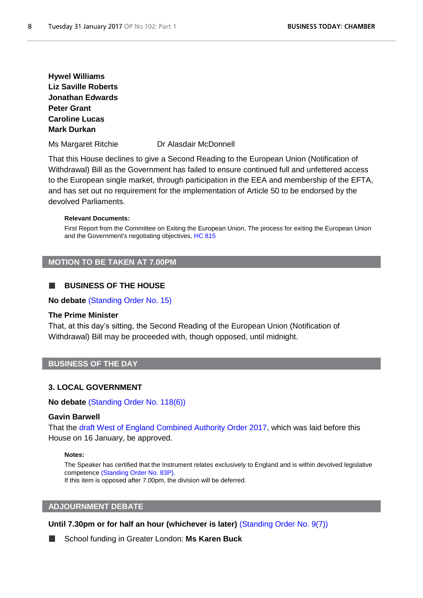**Hywel Williams Liz Saville Roberts Jonathan Edwards Peter Grant Caroline Lucas Mark Durkan**

Ms Margaret Ritchie Dr Alasdair McDonnell

That this House declines to give a Second Reading to the European Union (Notification of Withdrawal) Bill as the Government has failed to ensure continued full and unfettered access to the European single market, through participation in the EEA and membership of the EFTA, and has set out no requirement for the implementation of Article 50 to be endorsed by the devolved Parliaments.

#### **Relevant Documents:**

First Report from the Committee on Exiting the European Union, The process for exiting the European Union and the Government's negotiating objectives, [HC 815](http://www.publications.parliament.uk/pa/cm201617/cmselect/cmexeu/815/815.pdf)

# **MOTION TO BE TAKEN AT 7.00PM**

### **BUSINESS OF THE HOUSE**

**No debate** [\(Standing Order No. 15\)](http://www.publications.parliament.uk/pa/cm201516/cmstords/0002/body.htm#15)

### **The Prime Minister**

That, at this day's sitting, the Second Reading of the European Union (Notification of Withdrawal) Bill may be proceeded with, though opposed, until midnight.

# **BUSINESS OF THE DAY**

#### <span id="page-7-0"></span>**3. LOCAL GOVERNMENT**

**No debate** [\(Standing Order No. 118\(6\)\)](http://www.publications.parliament.uk/pa/cm201516/cmstords/0002/body.htm#118(6))

## **Gavin Barwell**

That the [draft West of England Combined Authority Order 2017,](http://www.legislation.gov.uk/ukdsi/2017/9780111153185/pdfs/ukdsi_9780111153185_en.pdf) which was laid before this House on 16 January, be approved.

#### **Notes:**

The Speaker has certified that the Instrument relates exclusively to England and is within devolved legislative competence [\(Standing Order No. 83P\).](http://www.publications.parliament.uk/pa/cm201516/cmstords/0002/body.htm#83P)

If this item is opposed after 7.00pm, the division will be deferred.

### **ADJOURNMENT DEBATE**

**Until 7.30pm or for half an hour (whichever is later)** [\(Standing Order No. 9\(7\)\)](http://www.publications.parliament.uk/pa/cm201516/cmstords/0002/body.htm#9(7))

<span id="page-7-1"></span>School funding in Greater London: **Ms Karen Buck**г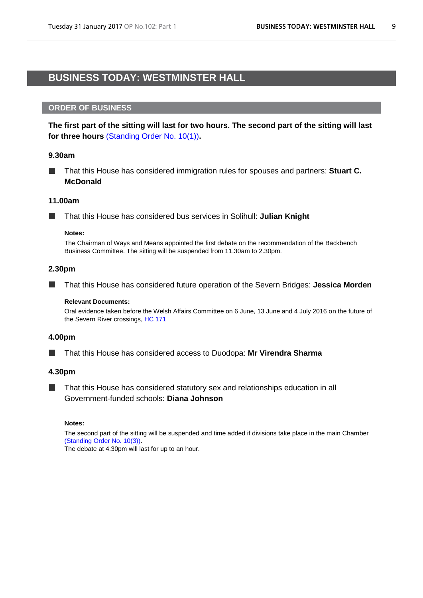# <span id="page-8-1"></span><span id="page-8-0"></span>**BUSINESS TODAY: WESTMINSTER HALL**

# **ORDER OF BUSINESS**

**The first part of the sitting will last for two hours. The second part of the sitting will last for three hours** [\(Standing Order No. 10\(1\)\)](http://www.publications.parliament.uk/pa/cm201516/cmstords/0002/body.htm#10(1))**.**

### **9.30am**

That this House has considered immigration rules for spouses and partners: **Stuart C.**   $\overline{\phantom{a}}$ **McDonald**

### **11.00am**

That this House has considered bus services in Solihull: **Julian Knight**

#### **Notes:**

The Chairman of Ways and Means appointed the first debate on the recommendation of the Backbench Business Committee. The sitting will be suspended from 11.30am to 2.30pm.

# **2.30pm**

ш That this House has considered future operation of the Severn Bridges: **Jessica Morden**

#### **Relevant Documents:**

Oral evidence taken before the Welsh Affairs Committee on 6 June, 13 June and 4 July 2016 on the future of the Severn River crossings, [HC 171](http://data.parliament.uk/writtenevidence/committeeevidence.svc/evidencedocument/welsh-affairs-committee/the-future-of-the-severn-river-crossings/oral/34438.pdf)

#### **4.00pm**

That this House has considered access to Duodopa: **Mr Virendra Sharma**

#### **4.30pm**

That this House has considered statutory sex and relationships education in all ш Government-funded schools: **Diana Johnson**

### **Notes:**

The second part of the sitting will be suspended and time added if divisions take place in the main Chamber [\(Standing Order No. 10\(3\)\).](http://www.publications.parliament.uk/pa/cm201516/cmstords/0002/body.htm#10(3)) The debate at 4.30pm will last for up to an hour.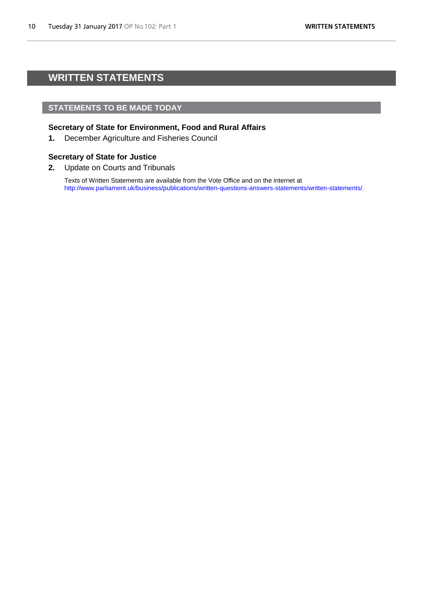# <span id="page-9-1"></span><span id="page-9-0"></span>**WRITTEN STATEMENTS**

# **STATEMENTS TO BE MADE TODAY**

# **Secretary of State for Environment, Food and Rural Affairs**

**1.** December Agriculture and Fisheries Council

# **Secretary of State for Justice**

**2.** Update on Courts and Tribunals

Texts of Written Statements are available from the Vote Office and on the internet at [http://www.parliament.uk/business/publications/written-questions-answers-statements/written-statements/.](http://www.parliament.uk/business/publications/written-questions-answers-statements/written-statements/)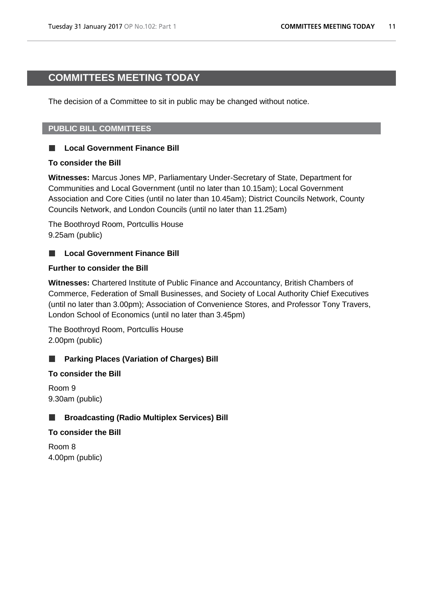# <span id="page-10-1"></span><span id="page-10-0"></span>**COMMITTEES MEETING TODAY**

The decision of a Committee to sit in public may be changed without notice.

# **PUBLIC BILL COMMITTEES**

#### **Local Government Finance Bill** a se

# **To consider the Bill**

**Witnesses:** Marcus Jones MP, Parliamentary Under-Secretary of State, Department for Communities and Local Government (until no later than 10.15am); Local Government Association and Core Cities (until no later than 10.45am); District Councils Network, County Councils Network, and London Councils (until no later than 11.25am)

The Boothroyd Room, Portcullis House 9.25am (public)

#### **Local Government Finance Bill**  $\Box$

# **Further to consider the Bill**

**Witnesses:** Chartered Institute of Public Finance and Accountancy, British Chambers of Commerce, Federation of Small Businesses, and Society of Local Authority Chief Executives (until no later than 3.00pm); Association of Convenience Stores, and Professor Tony Travers, London School of Economics (until no later than 3.45pm)

The Boothroyd Room, Portcullis House 2.00pm (public)

# **Parking Places (Variation of Charges) Bill**

# **To consider the Bill**

Room 9 9.30am (public)

#### **Broadcasting (Radio Multiplex Services) Bill**  $\Box$

# **To consider the Bill**

Room 8 4.00pm (public)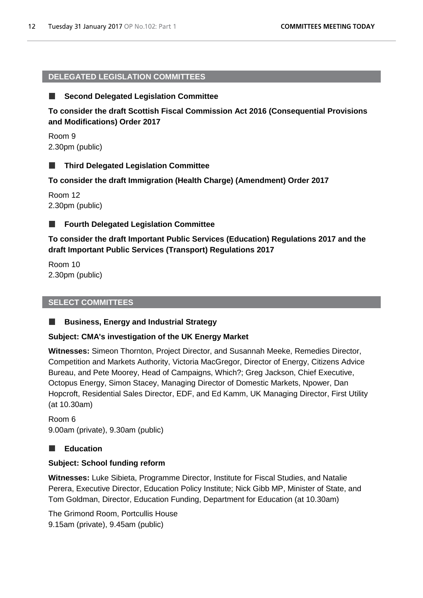# **DELEGATED LEGISLATION COMMITTEES**

#### **Second Delegated Legislation Committee** ш

**To consider the draft Scottish Fiscal Commission Act 2016 (Consequential Provisions and Modifications) Order 2017**

Room 9 2.30pm (public)

#### **Third Delegated Legislation Committee**  $\Box$

**To consider the draft Immigration (Health Charge) (Amendment) Order 2017**

Room 12 2.30pm (public)

#### **Fourth Delegated Legislation Committee** ш

**To consider the draft Important Public Services (Education) Regulations 2017 and the draft Important Public Services (Transport) Regulations 2017**

Room 10 2.30pm (public)

# **SELECT COMMITTEES**

#### ш **Business, Energy and Industrial Strategy**

# **Subject: CMA's investigation of the UK Energy Market**

**Witnesses:** Simeon Thornton, Project Director, and Susannah Meeke, Remedies Director, Competition and Markets Authority, Victoria MacGregor, Director of Energy, Citizens Advice Bureau, and Pete Moorey, Head of Campaigns, Which?; Greg Jackson, Chief Executive, Octopus Energy, Simon Stacey, Managing Director of Domestic Markets, Npower, Dan Hopcroft, Residential Sales Director, EDF, and Ed Kamm, UK Managing Director, First Utility (at 10.30am)

Room 6 9.00am (private), 9.30am (public)

# **Education**

# **Subject: School funding reform**

**Witnesses:** Luke Sibieta, Programme Director, Institute for Fiscal Studies, and Natalie Perera, Executive Director, Education Policy Institute; Nick Gibb MP, Minister of State, and Tom Goldman, Director, Education Funding, Department for Education (at 10.30am)

The Grimond Room, Portcullis House 9.15am (private), 9.45am (public)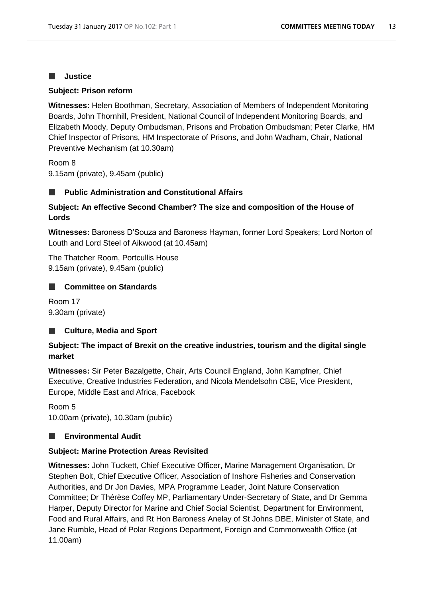#### **Justice**  $\Box$

# **Subject: Prison reform**

**Witnesses:** Helen Boothman, Secretary, Association of Members of Independent Monitoring Boards, John Thornhill, President, National Council of Independent Monitoring Boards, and Elizabeth Moody, Deputy Ombudsman, Prisons and Probation Ombudsman; Peter Clarke, HM Chief Inspector of Prisons, HM Inspectorate of Prisons, and John Wadham, Chair, National Preventive Mechanism (at 10.30am)

Room 8 9.15am (private), 9.45am (public)

#### **Public Administration and Constitutional Affairs** a se

# **Subject: An effective Second Chamber? The size and composition of the House of Lords**

**Witnesses:** Baroness D'Souza and Baroness Hayman, former Lord Speakers; Lord Norton of Louth and Lord Steel of Aikwood (at 10.45am)

The Thatcher Room, Portcullis House 9.15am (private), 9.45am (public)

# **Committee on Standards**

Room 17 9.30am (private)

#### **Culture, Media and Sport** a a

# **Subject: The impact of Brexit on the creative industries, tourism and the digital single market**

**Witnesses:** Sir Peter Bazalgette, Chair, Arts Council England, John Kampfner, Chief Executive, Creative Industries Federation, and Nicola Mendelsohn CBE, Vice President, Europe, Middle East and Africa, Facebook

Room 5 10.00am (private), 10.30am (public)

#### **Environmental Audit** ш

# **Subject: Marine Protection Areas Revisited**

**Witnesses:** John Tuckett, Chief Executive Officer, Marine Management Organisation, Dr Stephen Bolt, Chief Executive Officer, Association of Inshore Fisheries and Conservation Authorities, and Dr Jon Davies, MPA Programme Leader, Joint Nature Conservation Committee; Dr Thérèse Coffey MP, Parliamentary Under-Secretary of State, and Dr Gemma Harper, Deputy Director for Marine and Chief Social Scientist, Department for Environment, Food and Rural Affairs, and Rt Hon Baroness Anelay of St Johns DBE, Minister of State, and Jane Rumble, Head of Polar Regions Department, Foreign and Commonwealth Office (at 11.00am)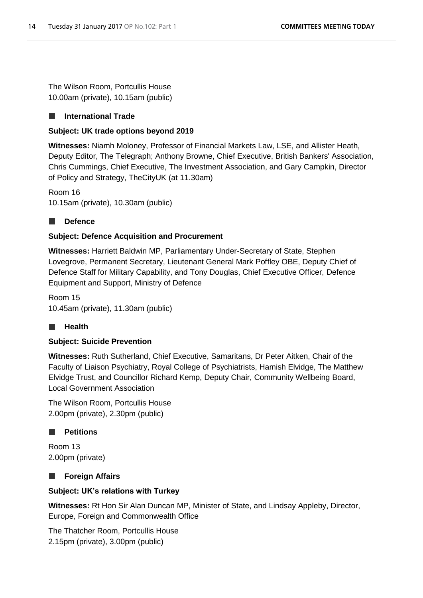The Wilson Room, Portcullis House 10.00am (private), 10.15am (public)

#### **International Trade**  $\overline{\phantom{a}}$

# **Subject: UK trade options beyond 2019**

**Witnesses:** Niamh Moloney, Professor of Financial Markets Law, LSE, and Allister Heath, Deputy Editor, The Telegraph; Anthony Browne, Chief Executive, British Bankers' Association, Chris Cummings, Chief Executive, The Investment Association, and Gary Campkin, Director of Policy and Strategy, TheCityUK (at 11.30am)

Room 16 10.15am (private), 10.30am (public)

# **Defence**

# **Subject: Defence Acquisition and Procurement**

**Witnesses:** Harriett Baldwin MP, Parliamentary Under-Secretary of State, Stephen Lovegrove, Permanent Secretary, Lieutenant General Mark Poffley OBE, Deputy Chief of Defence Staff for Military Capability, and Tony Douglas, Chief Executive Officer, Defence Equipment and Support, Ministry of Defence

Room 15 10.45am (private), 11.30am (public)

# **Health**

# **Subject: Suicide Prevention**

**Witnesses:** Ruth Sutherland, Chief Executive, Samaritans, Dr Peter Aitken, Chair of the Faculty of Liaison Psychiatry, Royal College of Psychiatrists, Hamish Elvidge, The Matthew Elvidge Trust, and Councillor Richard Kemp, Deputy Chair, Community Wellbeing Board, Local Government Association

The Wilson Room, Portcullis House 2.00pm (private), 2.30pm (public)

#### $\Box$ **Petitions**

Room 13 2.00pm (private)

# **Foreign Affairs**

# **Subject: UK's relations with Turkey**

**Witnesses:** Rt Hon Sir Alan Duncan MP, Minister of State, and Lindsay Appleby, Director, Europe, Foreign and Commonwealth Office

The Thatcher Room, Portcullis House 2.15pm (private), 3.00pm (public)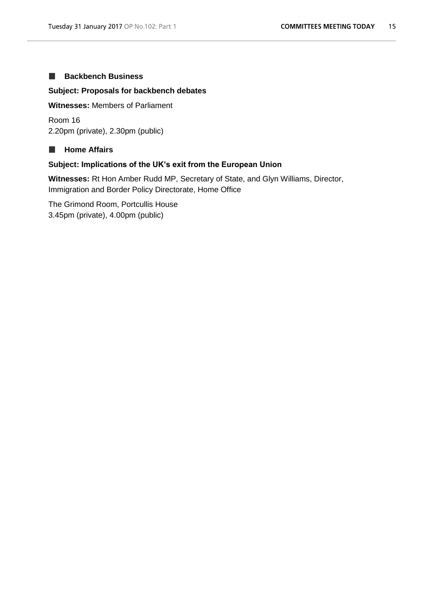#### **Backbench Business**  $\mathcal{L}_{\mathcal{A}}$

# **Subject: Proposals for backbench debates**

**Witnesses:** Members of Parliament

Room 16 2.20pm (private), 2.30pm (public)

#### **Home Affairs**  $\Box$

# **Subject: Implications of the UK's exit from the European Union**

**Witnesses:** Rt Hon Amber Rudd MP, Secretary of State, and Glyn Williams, Director, Immigration and Border Policy Directorate, Home Office

The Grimond Room, Portcullis House 3.45pm (private), 4.00pm (public)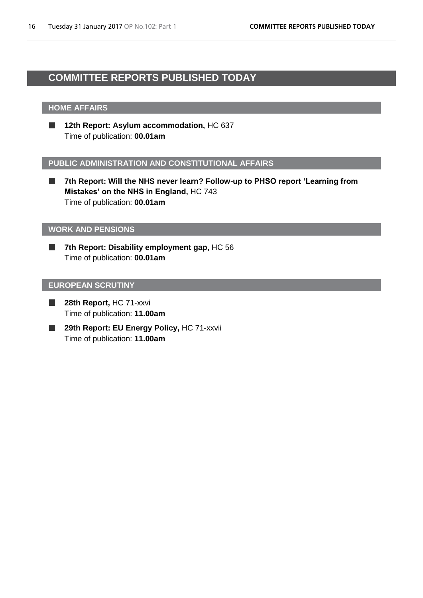# <span id="page-15-1"></span><span id="page-15-0"></span>**COMMITTEE REPORTS PUBLISHED TODAY**

# **HOME AFFAIRS**

П **12th Report: Asylum accommodation,** HC 637 Time of publication: **00.01am**

# **PUBLIC ADMINISTRATION AND CONSTITUTIONAL AFFAIRS**

 $\mathbb{R}^n$ **7th Report: Will the NHS never learn? Follow-up to PHSO report 'Learning from Mistakes' on the NHS in England,** HC 743 Time of publication: **00.01am**

### **WORK AND PENSIONS**

**7th Report: Disability employment gap,** HC 56 F. Time of publication: **00.01am**

# **EUROPEAN SCRUTINY**

- П **28th Report,** HC 71-xxvi Time of publication: **11.00am**
- 29th Report: EU Energy Policy, HC 71-xxvii ш Time of publication: **11.00am**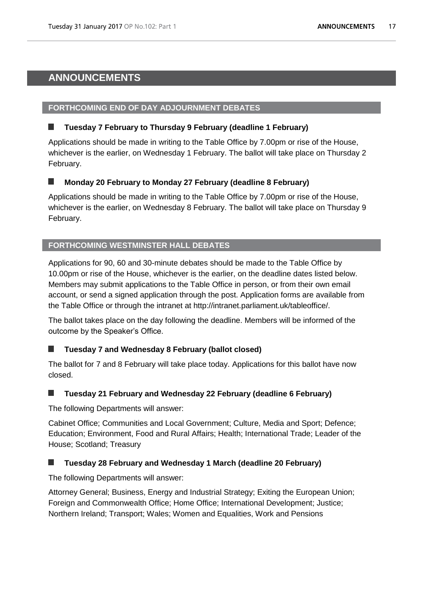# <span id="page-16-1"></span><span id="page-16-0"></span>**ANNOUNCEMENTS**

# **FORTHCOMING END OF DAY ADJOURNMENT DEBATES**

# **Tuesday 7 February to Thursday 9 February (deadline 1 February)**

Applications should be made in writing to the Table Office by 7.00pm or rise of the House, whichever is the earlier, on Wednesday 1 February. The ballot will take place on Thursday 2 February.

#### **Monday 20 February to Monday 27 February (deadline 8 February)** г

Applications should be made in writing to the Table Office by 7.00pm or rise of the House, whichever is the earlier, on Wednesday 8 February. The ballot will take place on Thursday 9 February.

# **FORTHCOMING WESTMINSTER HALL DEBATES**

Applications for 90, 60 and 30-minute debates should be made to the Table Office by 10.00pm or rise of the House, whichever is the earlier, on the deadline dates listed below. Members may submit applications to the Table Office in person, or from their own email account, or send a signed application through the post. Application forms are available from the Table Office or through the intranet at http://intranet.parliament.uk/tableoffice/.

The ballot takes place on the day following the deadline. Members will be informed of the outcome by the Speaker's Office.

# **Tuesday 7 and Wednesday 8 February (ballot closed)**

The ballot for 7 and 8 February will take place today. Applications for this ballot have now closed.

# **Tuesday 21 February and Wednesday 22 February (deadline 6 February)**

The following Departments will answer:

Cabinet Office; Communities and Local Government; Culture, Media and Sport; Defence; Education; Environment, Food and Rural Affairs; Health; International Trade; Leader of the House; Scotland; Treasury

# **Tuesday 28 February and Wednesday 1 March (deadline 20 February)**

The following Departments will answer:

Attorney General; Business, Energy and Industrial Strategy; Exiting the European Union; Foreign and Commonwealth Office; Home Office; International Development; Justice; Northern Ireland; Transport; Wales; Women and Equalities, Work and Pensions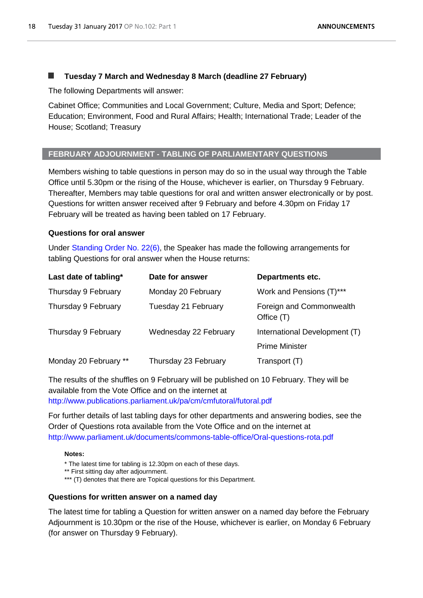# **Tuesday 7 March and Wednesday 8 March (deadline 27 February)**

The following Departments will answer:

Cabinet Office; Communities and Local Government; Culture, Media and Sport; Defence; Education; Environment, Food and Rural Affairs; Health; International Trade; Leader of the House; Scotland; Treasury

# **FEBRUARY ADJOURNMENT - TABLING OF PARLIAMENTARY QUESTIONS**

Members wishing to table questions in person may do so in the usual way through the Table Office until 5.30pm or the rising of the House, whichever is earlier, on Thursday 9 February. Thereafter, Members may table questions for oral and written answer electronically or by post. Questions for written answer received after 9 February and before 4.30pm on Friday 17 February will be treated as having been tabled on 17 February.

# **Questions for oral answer**

Under [Standing Order No. 22\(6\),](http://www.publications.parliament.uk/pa/cm201516/cmstords/0002/body.htm#22(6)) the Speaker has made the following arrangements for tabling Questions for oral answer when the House returns:

| Last date of tabling* | Date for answer       | <b>Departments etc.</b>                |
|-----------------------|-----------------------|----------------------------------------|
| Thursday 9 February   | Monday 20 February    | Work and Pensions (T)***               |
| Thursday 9 February   | Tuesday 21 February   | Foreign and Commonwealth<br>Office (T) |
| Thursday 9 February   | Wednesday 22 February | International Development (T)          |
|                       |                       | <b>Prime Minister</b>                  |
| Monday 20 February ** | Thursday 23 February  | Transport (T)                          |

The results of the shuffles on 9 February will be published on 10 February. They will be available from the Vote Office and on the internet at <http://www.publications.parliament.uk/pa/cm/cmfutoral/futoral.pdf>

For further details of last tabling days for other departments and answering bodies, see the Order of Questions rota available from the Vote Office and on the internet at <http://www.parliament.uk/documents/commons-table-office/Oral-questions-rota.pdf>

#### **Notes:**

\* The latest time for tabling is 12.30pm on each of these days.

\*\* First sitting day after adjournment.

\*\*\* (T) denotes that there are Topical questions for this Department.

#### **Questions for written answer on a named day**

The latest time for tabling a Question for written answer on a named day before the February Adjournment is 10.30pm or the rise of the House, whichever is earlier, on Monday 6 February (for answer on Thursday 9 February).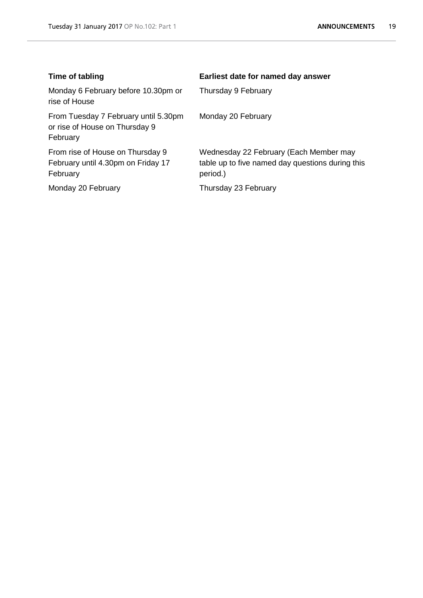| Time of tabling                                                                    | Earliest date for named day answer                                                                     |
|------------------------------------------------------------------------------------|--------------------------------------------------------------------------------------------------------|
| Monday 6 February before 10.30pm or<br>rise of House                               | Thursday 9 February                                                                                    |
| From Tuesday 7 February until 5.30pm<br>or rise of House on Thursday 9<br>February | Monday 20 February                                                                                     |
| From rise of House on Thursday 9<br>February until 4.30pm on Friday 17<br>February | Wednesday 22 February (Each Member may<br>table up to five named day questions during this<br>period.) |
| Monday 20 February                                                                 | Thursday 23 February                                                                                   |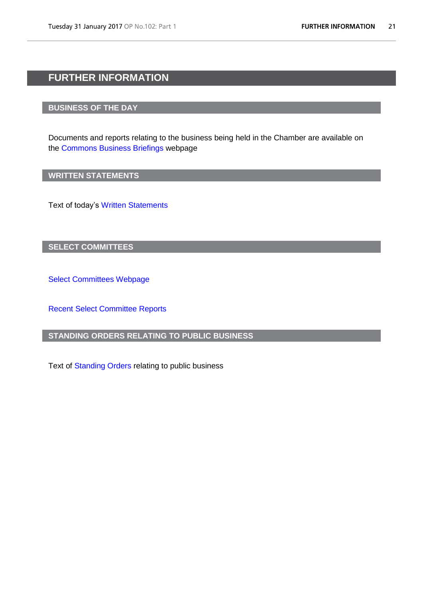# <span id="page-20-0"></span>**FURTHER INFORMATION**

# **BUSINESS OF THE DAY**

Documents and reports relating to the business being held in the Chamber are available on the [Commons Business Briefings](http://www.parliament.uk/business/publications/research/commons-business-briefings/) webpage

# **WRITTEN STATEMENTS**

Text of today's [Written Statements](http://www.parliament.uk/business/publications/written-questions-answers-statements/written-statements/)

# **SELECT COMMITTEES**

[Select Committees Webpage](http://www.parliament.uk/business/committees/committees-a-z/commons-select/)

[Recent Select Committee Reports](http://www.parliament.uk/business/publications/committees/recent-reports/)

# **STANDING ORDERS RELATING TO PUBLIC BUSINESS**

Text of [Standing Orders](http://www.publications.parliament.uk/pa/cm201516/cmstords/0002/body.htm) relating to public business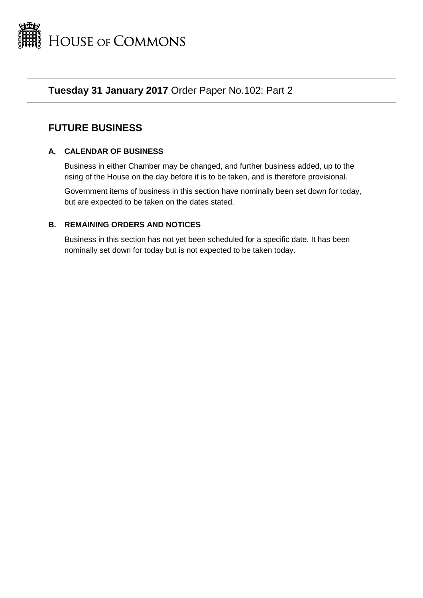

# **Tuesday 31 January 2017** Order Paper No.102: Part 2

# **FUTURE BUSINESS**

# **A. CALENDAR OF BUSINESS**

Business in either Chamber may be changed, and further business added, up to the rising of the House on the day before it is to be taken, and is therefore provisional.

Government items of business in this section have nominally been set down for today, but are expected to be taken on the dates stated.

# **B. REMAINING ORDERS AND NOTICES**

Business in this section has not yet been scheduled for a specific date. It has been nominally set down for today but is not expected to be taken today.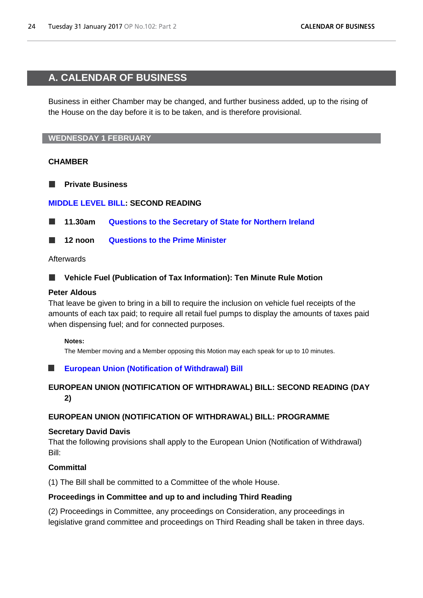# <span id="page-23-1"></span><span id="page-23-0"></span>**A. CALENDAR OF BUSINESS**

Business in either Chamber may be changed, and further business added, up to the rising of the House on the day before it is to be taken, and is therefore provisional.

# **WEDNESDAY 1 FEBRUARY**

# **CHAMBER**

**Private Business**

# **[MIDDLE LEVEL BILL:](http://www.publications.parliament.uk/pa/bills/lbill/2016-2017/middlelevel/middle-level-bill-as-deposited.pdf) SECOND READING**

**11.30am [Questions to the Secretary of State for Northern Ireland](http://www.publications.parliament.uk/pa/cm/cmfutoral/futoral.htm#fdo1)**

**12 noon [Questions to the Prime Minister](http://www.publications.parliament.uk/pa/cm/cmfutoral/futoral.htm#fdo2)**

Afterwards

#### **Vehicle Fuel (Publication of Tax Information): Ten Minute Rule Motion** ш

# **Peter Aldous**

That leave be given to bring in a bill to require the inclusion on vehicle fuel receipts of the amounts of each tax paid; to require all retail fuel pumps to display the amounts of taxes paid when dispensing fuel; and for connected purposes.

# **Notes:**

The Member moving and a Member opposing this Motion may each speak for up to 10 minutes.

# **[European Union \(Notification of Withdrawal\) Bill](http://www.publications.parliament.uk/pa/bills/cbill/2016-2017/0132/17132.pdf)**

# **EUROPEAN UNION (NOTIFICATION OF WITHDRAWAL) BILL: SECOND READING (DAY 2)**

# **EUROPEAN UNION (NOTIFICATION OF WITHDRAWAL) BILL: PROGRAMME**

# **Secretary David Davis**

That the following provisions shall apply to the European Union (Notification of Withdrawal) Bill:

# **Committal**

(1) The Bill shall be committed to a Committee of the whole House.

# **Proceedings in Committee and up to and including Third Reading**

(2) Proceedings in Committee, any proceedings on Consideration, any proceedings in legislative grand committee and proceedings on Third Reading shall be taken in three days.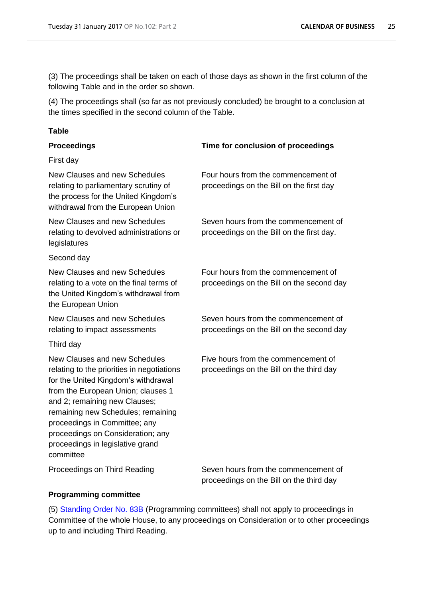(3) The proceedings shall be taken on each of those days as shown in the first column of the following Table and in the order so shown.

(4) The proceedings shall (so far as not previously concluded) be brought to a conclusion at the times specified in the second column of the Table.

# **Table**

| <b>Proceedings</b>                                                                                                                                                                                                                                                                                                                                     | Time for conclusion of proceedings                                                |
|--------------------------------------------------------------------------------------------------------------------------------------------------------------------------------------------------------------------------------------------------------------------------------------------------------------------------------------------------------|-----------------------------------------------------------------------------------|
| First day                                                                                                                                                                                                                                                                                                                                              |                                                                                   |
| New Clauses and new Schedules<br>relating to parliamentary scrutiny of<br>the process for the United Kingdom's<br>withdrawal from the European Union                                                                                                                                                                                                   | Four hours from the commencement of<br>proceedings on the Bill on the first day   |
| New Clauses and new Schedules<br>relating to devolved administrations or<br>legislatures                                                                                                                                                                                                                                                               | Seven hours from the commencement of<br>proceedings on the Bill on the first day. |
| Second day                                                                                                                                                                                                                                                                                                                                             |                                                                                   |
| New Clauses and new Schedules<br>relating to a vote on the final terms of<br>the United Kingdom's withdrawal from<br>the European Union                                                                                                                                                                                                                | Four hours from the commencement of<br>proceedings on the Bill on the second day  |
| New Clauses and new Schedules<br>relating to impact assessments                                                                                                                                                                                                                                                                                        | Seven hours from the commencement of<br>proceedings on the Bill on the second day |
| Third day                                                                                                                                                                                                                                                                                                                                              |                                                                                   |
| New Clauses and new Schedules<br>relating to the priorities in negotiations<br>for the United Kingdom's withdrawal<br>from the European Union; clauses 1<br>and 2; remaining new Clauses;<br>remaining new Schedules; remaining<br>proceedings in Committee; any<br>proceedings on Consideration; any<br>proceedings in legislative grand<br>committee | Five hours from the commencement of<br>proceedings on the Bill on the third day   |

Proceedings on Third Reading Seven hours from the commencement of

proceedings on the Bill on the third day

# **Programming committee**

(5) [Standing Order No. 83B](http://www.publications.parliament.uk/pa/cm201516/cmstords/0002/body.htm#83B) (Programming committees) shall not apply to proceedings in Committee of the whole House, to any proceedings on Consideration or to other proceedings up to and including Third Reading.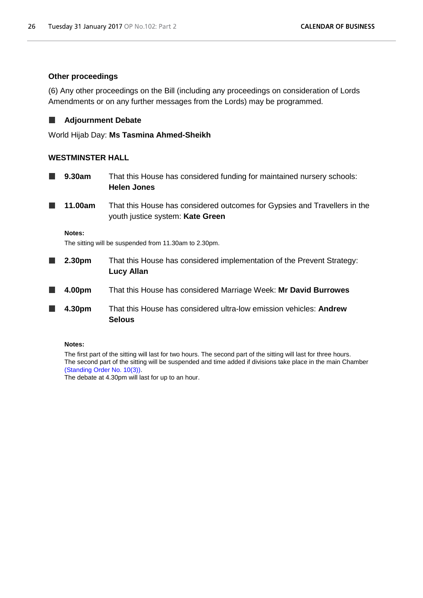# **Other proceedings**

(6) Any other proceedings on the Bill (including any proceedings on consideration of Lords Amendments or on any further messages from the Lords) may be programmed.

#### **Adjournment Debate** ш

World Hijab Day: **Ms Tasmina Ahmed-Sheikh**

# **WESTMINSTER HALL**

- **9.30am** That this House has considered funding for maintained nursery schools:  $\Box$ **Helen Jones**
- **11.00am** That this House has considered outcomes for Gypsies and Travellers in the youth justice system: **Kate Green**

**Notes:**

The sitting will be suspended from 11.30am to 2.30pm.

- **2.30pm** That this House has considered implementation of the Prevent Strategy:  $\blacksquare$ **Lucy Allan**
- ш **4.00pm** That this House has considered Marriage Week: **Mr David Burrowes**
- **4.30pm** That this House has considered ultra-low emission vehicles: **Andrew Selous**

#### **Notes:**

The first part of the sitting will last for two hours. The second part of the sitting will last for three hours. The second part of the sitting will be suspended and time added if divisions take place in the main Chamber [\(Standing Order No. 10\(3\)\).](http://www.publications.parliament.uk/pa/cm201516/cmstords/0002/body.htm#10(3))

The debate at 4.30pm will last for up to an hour.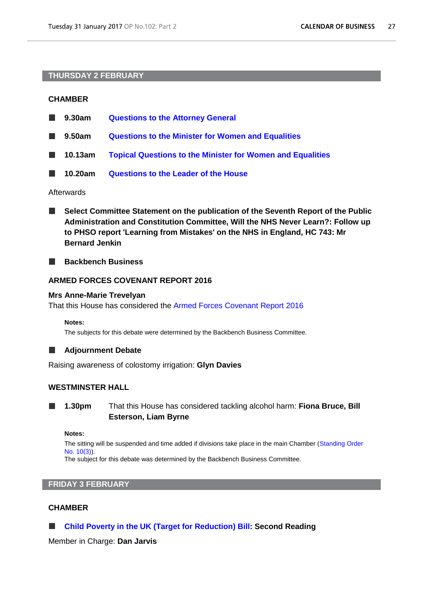# **THURSDAY 2 FEBRUARY**

# **CHAMBER**

| <b>The Contract of the Contract of the Contract of the Contract of the Contract of the Contract of the Contract o</b> | 9.30am  | <b>Questions to the Attorney General</b>                          |
|-----------------------------------------------------------------------------------------------------------------------|---------|-------------------------------------------------------------------|
| $\mathbb{R}^n$                                                                                                        | 9.50am  | <b>Questions to the Minister for Women and Equalities</b>         |
| a ka                                                                                                                  | 10.13am | <b>Topical Questions to the Minister for Women and Equalities</b> |
|                                                                                                                       | 10.20am | <b>Questions to the Leader of the House</b>                       |

### Afterwards

- **Select Committee Statement on the publication of the Seventh Report of the Public**  ш **Administration and Constitution Committee, Will the NHS Never Learn?: Follow up to PHSO report 'Learning from Mistakes' on the NHS in England, HC 743: Mr Bernard Jenkin**
- **College Backbench Business**

# **ARMED FORCES COVENANT REPORT 2016**

# **Mrs Anne-Marie Trevelyan**

That this House has considered the [Armed Forces Covenant Report 2016](https://www.gov.uk/government/uploads/system/uploads/attachment_data/file/577760/AFC_Report_FINAL_WEB.pd)

**Notes:**

The subjects for this debate were determined by the Backbench Business Committee.

# **Adjournment Debate**

Raising awareness of colostomy irrigation: **Glyn Davies**

# **WESTMINSTER HALL**

**1.30pm** That this House has considered tackling alcohol harm: **Fiona Bruce, Bill Esterson, Liam Byrne**

**Notes:**

The sitting will be suspended and time added if divisions take place in the main Chamber [\(Standing Order](http://www.publications.parliament.uk/pa/cm201516/cmstords/0002/body.htm#10(3))  [No. 10\(3\)\)](http://www.publications.parliament.uk/pa/cm201516/cmstords/0002/body.htm#10(3)).

The subject for this debate was determined by the Backbench Business Committee.

# **FRIDAY 3 FEBRUARY**

# **CHAMBER**

**[Child Poverty in the UK \(Target for Reduction\) Bill:](http://www.publications.parliament.uk/pa/bills/cbill/2016-2017/0025/17025.pdf) Second Reading** ш

Member in Charge: **Dan Jarvis**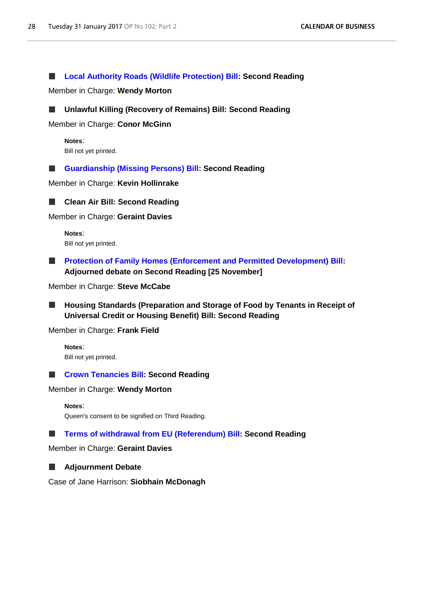**[Local Authority Roads \(Wildlife Protection\) Bill:](http://www.publications.parliament.uk/pa/bills/cbill/2016-2017/0034/17034.pdf) Second Reading** a se

Member in Charge: **Wendy Morton**



Member in Charge: **Conor McGinn**

**Notes**: Bill not yet printed.

**[Guardianship \(Missing Persons\) Bill:](http://www.publications.parliament.uk/pa/bills/cbill/2016-2017/0120/17120.pdf) Second Reading** a se

Member in Charge: **Kevin Hollinrake**



**Clean Air Bill: Second Reading**

Member in Charge: **Geraint Davies**

**Notes**: Bill not yet printed.

**[Protection of Family Homes \(Enforcement and Permitted Development\) Bill:](http://www.publications.parliament.uk/pa/bills/cbill/2016-2017/0039/17039.pdf) Adjourned debate on Second Reading [25 November]**

Member in Charge: **Steve McCabe**

**Housing Standards (Preparation and Storage of Food by Tenants in Receipt of**  ш **Universal Credit or Housing Benefit) Bill: Second Reading**

Member in Charge: **Frank Field**

**Notes**: Bill not yet printed.

# **[Crown Tenancies Bill:](http://www.publications.parliament.uk/pa/bills/cbill/2016-2017/0032/17032.pdf) Second Reading**

Member in Charge: **Wendy Morton**

```
Notes:
```
Queen's consent to be signified on Third Reading.

#### **[Terms of withdrawal from EU \(Referendum\) Bill:](http://www.publications.parliament.uk/pa/bills/cbill/2016-2017/0046/17046.pdf) Second Reading** a se

Member in Charge: **Geraint Davies**

#### **Adjournment Debate** ш

Case of Jane Harrison: **Siobhain McDonagh**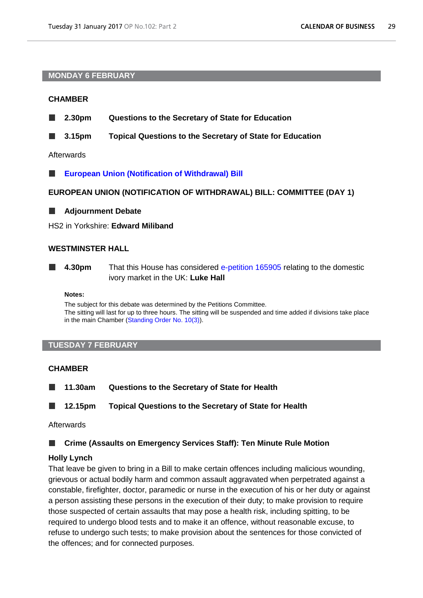## **MONDAY 6 FEBRUARY**

# **CHAMBER**

- **2.30pm Questions to the Secretary of State for Education**
- **3.15pm Topical Questions to the Secretary of State for Education** ш

Afterwards

**[European Union \(Notification of Withdrawal\) Bill](http://www.publications.parliament.uk/pa/bills/cbill/2016-2017/0132/17132.pdf)**

**EUROPEAN UNION (NOTIFICATION OF WITHDRAWAL) BILL: COMMITTEE (DAY 1)**

**Adjournment Debate**

HS2 in Yorkshire: **Edward Miliband**

# **WESTMINSTER HALL**

**4.30pm** That this House has considered [e-petition 165905](https://petition.parliament.uk/petitions/165905) relating to the domestic ivory market in the UK: **Luke Hall**

#### **Notes:**

The subject for this debate was determined by the Petitions Committee. The sitting will last for up to three hours. The sitting will be suspended and time added if divisions take place in the main Chamber [\(Standing Order No. 10\(3\)\)](http://www.publications.parliament.uk/pa/cm201516/cmstords/0002/body.htm#10(3)).

# **TUESDAY 7 FEBRUARY**

## **CHAMBER**

**11.30am Questions to the Secretary of State for Health** ш

 $\Box$ **12.15pm Topical Questions to the Secretary of State for Health**

### Afterwards

**Crime (Assaults on Emergency Services Staff): Ten Minute Rule Motion** l a

# **Holly Lynch**

That leave be given to bring in a Bill to make certain offences including malicious wounding, grievous or actual bodily harm and common assault aggravated when perpetrated against a constable, firefighter, doctor, paramedic or nurse in the execution of his or her duty or against a person assisting these persons in the execution of their duty; to make provision to require those suspected of certain assaults that may pose a health risk, including spitting, to be required to undergo blood tests and to make it an offence, without reasonable excuse, to refuse to undergo such tests; to make provision about the sentences for those convicted of the offences; and for connected purposes.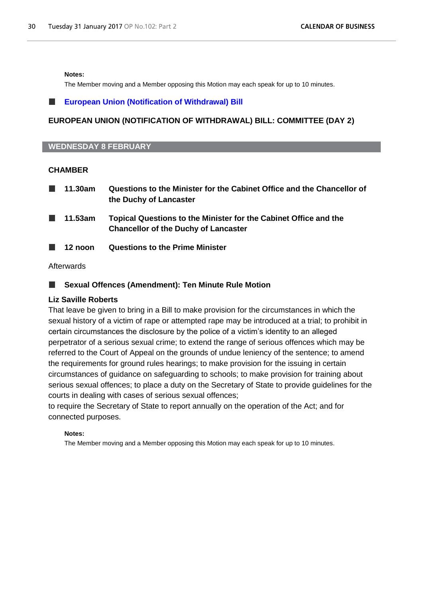#### **Notes:**

The Member moving and a Member opposing this Motion may each speak for up to 10 minutes.

# **[European Union \(Notification of Withdrawal\) Bill](http://www.publications.parliament.uk/pa/bills/cbill/2016-2017/0132/17132.pdf)**

# **EUROPEAN UNION (NOTIFICATION OF WITHDRAWAL) BILL: COMMITTEE (DAY 2)**

### **WEDNESDAY 8 FEBRUARY**

# **CHAMBER**

| 11.30am | Questions to the Minister for the Cabinet Office and the Chancellor of |
|---------|------------------------------------------------------------------------|
|         | the Duchy of Lancaster                                                 |
|         |                                                                        |

- **11.53am Topical Questions to the Minister for the Cabinet Office and the Chancellor of the Duchy of Lancaster**
- **12 noon Questions to the Prime Minister**

### Afterwards

# **Sexual Offences (Amendment): Ten Minute Rule Motion**

# **Liz Saville Roberts**

That leave be given to bring in a Bill to make provision for the circumstances in which the sexual history of a victim of rape or attempted rape may be introduced at a trial; to prohibit in certain circumstances the disclosure by the police of a victim's identity to an alleged perpetrator of a serious sexual crime; to extend the range of serious offences which may be referred to the Court of Appeal on the grounds of undue leniency of the sentence; to amend the requirements for ground rules hearings; to make provision for the issuing in certain circumstances of guidance on safeguarding to schools; to make provision for training about serious sexual offences; to place a duty on the Secretary of State to provide guidelines for the courts in dealing with cases of serious sexual offences;

to require the Secretary of State to report annually on the operation of the Act; and for connected purposes.

#### **Notes:**

The Member moving and a Member opposing this Motion may each speak for up to 10 minutes.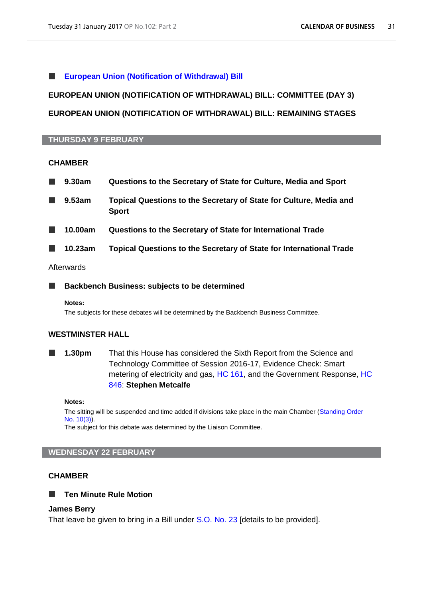#### **[European Union \(Notification of Withdrawal\) Bill](http://www.publications.parliament.uk/pa/bills/cbill/2016-2017/0132/17132.pdf)** ш

# **EUROPEAN UNION (NOTIFICATION OF WITHDRAWAL) BILL: COMMITTEE (DAY 3)**

# **EUROPEAN UNION (NOTIFICATION OF WITHDRAWAL) BILL: REMAINING STAGES**

# **THURSDAY 9 FEBRUARY**

### **CHAMBER**

| 9.30am  | Questions to the Secretary of State for Culture, Media and Sport                   |
|---------|------------------------------------------------------------------------------------|
| 9.53am  | Topical Questions to the Secretary of State for Culture, Media and<br><b>Sport</b> |
| 10.00am | Questions to the Secretary of State for International Trade                        |
| 10.23am | <b>Topical Questions to the Secretary of State for International Trade</b>         |
|         |                                                                                    |

# Afterwards

**Backbench Business: subjects to be determined** г

#### **Notes:**

The subjects for these debates will be determined by the Backbench Business Committee.

# **WESTMINSTER HALL**

**1.30pm** That this House has considered the Sixth Report from the Science and Technology Committee of Session 2016-17, Evidence Check: Smart metering of electricity and gas, [HC 161,](http://www.publications.parliament.uk/pa/cm201617/cmselect/cmsctech/161/161.pdf) and the Government Response, [HC](http://www.publications.parliament.uk/pa/cm201617/cmselect/cmsctech/846/846.pdf)  [846:](http://www.publications.parliament.uk/pa/cm201617/cmselect/cmsctech/846/846.pdf) **Stephen Metcalfe**

#### **Notes:**

The sitting will be suspended and time added if divisions take place in the main Chamber [\(Standing Order](http://www.publications.parliament.uk/pa/cm201516/cmstords/0002/body.htm#10(3))  [No. 10\(3\)\)](http://www.publications.parliament.uk/pa/cm201516/cmstords/0002/body.htm#10(3)).

The subject for this debate was determined by the Liaison Committee.

#### **WEDNESDAY 22 FEBRUARY**

# **CHAMBER**

# **Ten Minute Rule Motion**

#### **James Berry**

That leave be given to bring in a Bill under [S.O. No. 23](http://www.publications.parliament.uk/pa/cm201516/cmstords/0002/body.htm#23) [details to be provided].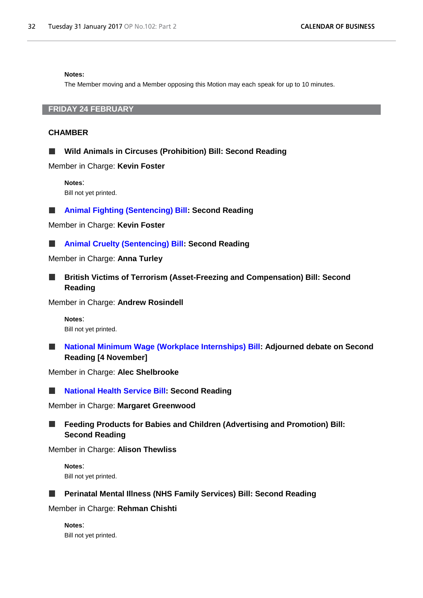#### **Notes:**

The Member moving and a Member opposing this Motion may each speak for up to 10 minutes.

# **FRIDAY 24 FEBRUARY**

## **CHAMBER**

**Wild Animals in Circuses (Prohibition) Bill: Second Reading**

Member in Charge: **Kevin Foster**

**Notes**: Bill not yet printed.

**[Animal Fighting \(Sentencing\) Bill:](http://www.publications.parliament.uk/pa/bills/cbill/2016-2017/0030/1730.pdf) Second Reading**  $\Box$ 

Member in Charge: **Kevin Foster**

**[Animal Cruelty \(Sentencing\) Bill:](http://www.publications.parliament.uk/pa/bills/cbill/2016-2017/0043/17043.pdf) Second Reading** ш

Member in Charge: **Anna Turley**

**British Victims of Terrorism (Asset-Freezing and Compensation) Bill: Second**  ш **Reading**

Member in Charge: **Andrew Rosindell**

**Notes**: Bill not yet printed.

**[National Minimum Wage \(Workplace Internships\) Bill:](http://www.publications.parliament.uk/pa/bills/cbill/2016-2017/0008/17008.pdf) Adjourned debate on Second Reading [4 November]**

Member in Charge: **Alec Shelbrooke**

**[National Health Service Bill:](http://www.publications.parliament.uk/pa/bills/cbill/2016-2017/0051/17051.pdf) Second Reading**

Member in Charge: **Margaret Greenwood**

**Feeding Products for Babies and Children (Advertising and Promotion) Bill:**  ш **Second Reading**

Member in Charge: **Alison Thewliss**

**Notes**: Bill not yet printed.

# **Perinatal Mental Illness (NHS Family Services) Bill: Second Reading**

Member in Charge: **Rehman Chishti**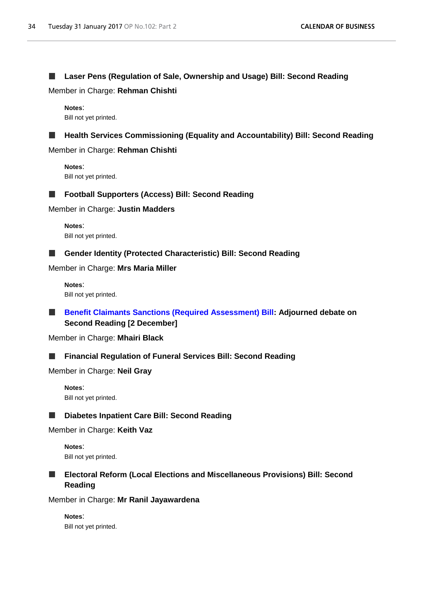#### **Laser Pens (Regulation of Sale, Ownership and Usage) Bill: Second Reading** ш

Member in Charge: **Rehman Chishti**

**Notes**: Bill not yet printed.

#### **Health Services Commissioning (Equality and Accountability) Bill: Second Reading**  $\Box$

Member in Charge: **Rehman Chishti**

**Notes**: Bill not yet printed.



# **Football Supporters (Access) Bill: Second Reading**

Member in Charge: **Justin Madders**

**Notes**: Bill not yet printed.

# **Gender Identity (Protected Characteristic) Bill: Second Reading**

Member in Charge: **Mrs Maria Miller**

**Notes**: Bill not yet printed.

ш **[Benefit Claimants Sanctions \(Required Assessment\) Bill:](http://www.publications.parliament.uk/pa/bills/cbill/2016-2017/0011/17011.pdf) Adjourned debate on Second Reading [2 December]**

Member in Charge: **Mhairi Black**

#### **Financial Regulation of Funeral Services Bill: Second Reading**  $\overline{\phantom{a}}$

Member in Charge: **Neil Gray**

**Notes**: Bill not yet printed.



# Member in Charge: **Keith Vaz**

**Notes**: Bill not yet printed.

# **Electoral Reform (Local Elections and Miscellaneous Provisions) Bill: Second Reading**

Member in Charge: **Mr Ranil Jayawardena**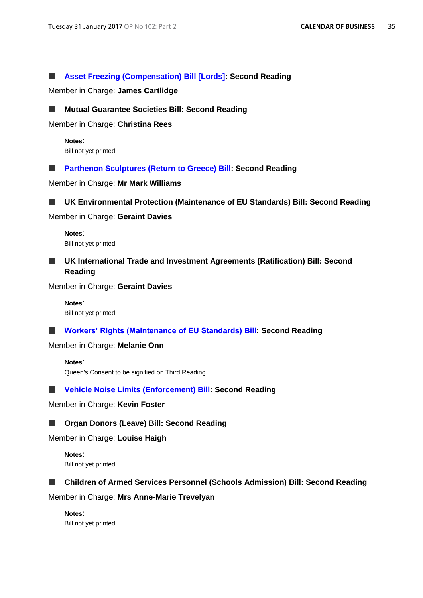#### **[Asset Freezing \(Compensation\) Bill \[Lords\]:](http://www.publications.parliament.uk/pa/bills/cbill/2016-2017/0107/17107.pdf) Second Reading** ш

Member in Charge: **James Cartlidge**

### **Mutual Guarantee Societies Bill: Second Reading**

Member in Charge: **Christina Rees**

**Notes**: Bill not yet printed.

**Parthenon Sculptures [\(Return to Greece\) Bill:](http://www.publications.parliament.uk/pa/bills/cbill/2016-2017/0048/17048.pdf) Second Reading** a se

Member in Charge: **Mr Mark Williams**

**UK Environmental Protection (Maintenance of EU Standards) Bill: Second Reading** ш

Member in Charge: **Geraint Davies**

**Notes**: Bill not yet printed.

# **UK International Trade and Investment Agreements (Ratification) Bill: Second Reading**

Member in Charge: **Geraint Davies**

**Notes**: Bill not yet printed.

**[Workers' Rights \(Maintenance of EU Standards\) Bill:](http://www.publications.parliament.uk/pa/bills/cbill/2016-2017/0062/17062.pdf) Second Reading**

Member in Charge: **Melanie Onn**

**Notes**: Queen's Consent to be signified on Third Reading.

# **[Vehicle Noise Limits \(Enforcement\) Bill:](http://www.publications.parliament.uk/pa/bills/cbill/2016-2017/0027/17027.pdf) Second Reading**

Member in Charge: **Kevin Foster**

#### **Organ Donors (Leave) Bill: Second Reading** ш

Member in Charge: **Louise Haigh**

**Notes**: Bill not yet printed.

#### **Children of Armed Services Personnel (Schools Admission) Bill: Second Reading** ш

Member in Charge: **Mrs Anne-Marie Trevelyan**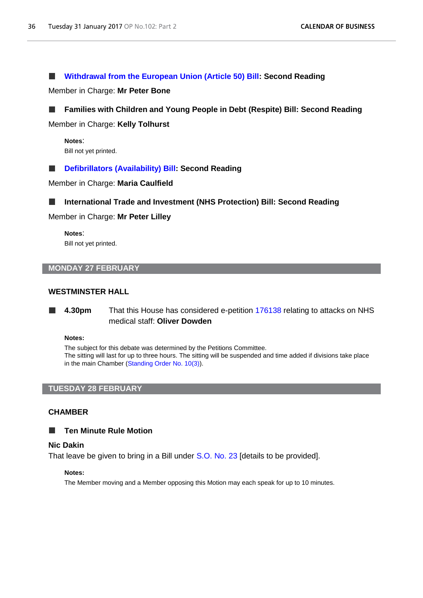#### **[Withdrawal from the European Union \(Article 50\) Bill:](http://www.publications.parliament.uk/pa/bills/cbill/2016-2017/0104/170104.pdf) Second Reading** ш

Member in Charge: **Mr Peter Bone**

# **Families with Children and Young People in Debt (Respite) Bill: Second Reading**

Member in Charge: **Kelly Tolhurst**

**Notes**: Bill not yet printed.

#### **[Defibrillators \(Availability\) Bill:](http://www.publications.parliament.uk/pa/bills/cbill/2016-2017/0091/17091.pdf) Second Reading** ш

Member in Charge: **Maria Caulfield**



Member in Charge: **Mr Peter Lilley**

**Notes**: Bill not yet printed.

# **MONDAY 27 FEBRUARY**

# **WESTMINSTER HALL**

**4.30pm** That this House has considered e-petition [176138](https://petition.parliament.uk/petitions/176138) relating to attacks on NHS medical staff: **Oliver Dowden**

#### **Notes:**

The subject for this debate was determined by the Petitions Committee. The sitting will last for up to three hours. The sitting will be suspended and time added if divisions take place in the main Chamber [\(Standing Order No. 10\(3\)\)](http://www.publications.parliament.uk/pa/cm201516/cmstords/0002/body.htm#10(3)).

#### **TUESDAY 28 FEBRUARY**

### **CHAMBER**

#### **Ten Minute Rule Motion**  $\blacksquare$

#### **Nic Dakin**

That leave be given to bring in a Bill under [S.O. No. 23](http://www.publications.parliament.uk/pa/cm201516/cmstords/0002/body.htm#23) [details to be provided].

#### **Notes:**

The Member moving and a Member opposing this Motion may each speak for up to 10 minutes.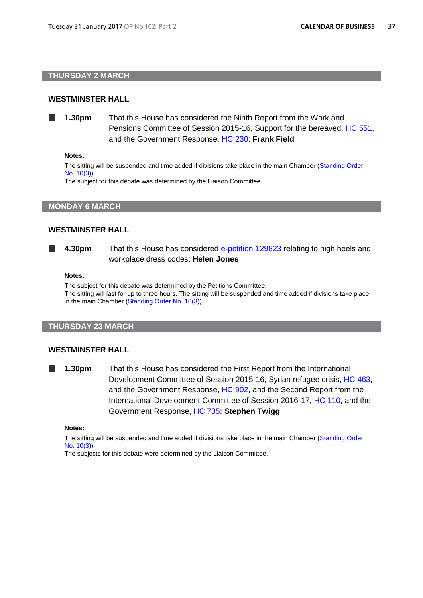### **THURSDAY 2 MARCH**

### **WESTMINSTER HALL**

**1.30pm** That this House has considered the Ninth Report from the Work and Pensions Committee of Session 2015-16, Support for the bereaved, [HC 551,](http://www.publications.parliament.uk/pa/cm201516/cmselect/cmworpen/551/551.pdf) and the Government Response, [HC 230:](http://www.publications.parliament.uk/pa/cm201617/cmselect/cmworpen/230/230.pdf) **Frank Field**

#### **Notes:**

The sitting will be suspended and time added if divisions take place in the main Chamber [\(Standing Order](http://www.publications.parliament.uk/pa/cm201516/cmstords/0002/body.htm#10(3))  [No. 10\(3\)\)](http://www.publications.parliament.uk/pa/cm201516/cmstords/0002/body.htm#10(3)).

The subject for this debate was determined by the Liaison Committee.

**MONDAY 6 MARCH**

### **WESTMINSTER HALL**

**4.30pm** That this House has considered [e-petition 129823](https://petition.parliament.uk/petitions/129823) relating to high heels and **The Co** workplace dress codes: **Helen Jones**

#### **Notes:**

The subject for this debate was determined by the Petitions Committee. The sitting will last for up to three hours. The sitting will be suspended and time added if divisions take place

#### **THURSDAY 23 MARCH**

in the main Chamber [\(Standing Order No. 10\(3\)\)](http://www.publications.parliament.uk/pa/cm201516/cmstords/0002/body.htm#10(3)).

#### **WESTMINSTER HALL**

**1.30pm** That this House has considered the First Report from the International Development Committee of Session 2015-16, Syrian refugee crisis, [HC 463,](http://www.publications.parliament.uk/pa/cm201516/cmselect/cmintdev/463/463.pdf) and the Government Response, [HC 902,](http://www.publications.parliament.uk/pa/cm201516/cmselect/cmintdev/902/902.pdf) and the Second Report from the International Development Committee of Session 2016-17, [HC 110,](http://www.publications.parliament.uk/pa/cm201617/cmselect/cmintdev/110/110.pdf) and the Government Response, [HC 735:](http://www.publications.parliament.uk/pa/cm201617/cmselect/cmintdev/735/735.pdf) **Stephen Twigg**

#### **Notes:**

The sitting will be suspended and time added if divisions take place in the main Chamber [\(Standing Order](http://www.publications.parliament.uk/pa/cm201516/cmstords/0002/body.htm#10(3))  [No. 10\(3\)\)](http://www.publications.parliament.uk/pa/cm201516/cmstords/0002/body.htm#10(3)).

The subjects for this debate were determined by the Liaison Committee.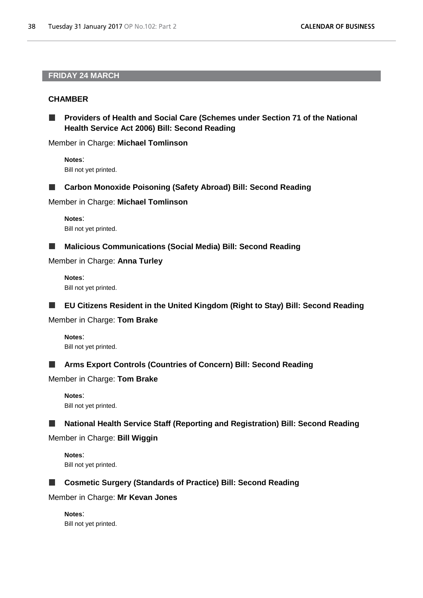# **FRIDAY 24 MARCH**

# **CHAMBER**

**Providers of Health and Social Care (Schemes under Section 71 of the National Health Service Act 2006) Bill: Second Reading**

Member in Charge: **Michael Tomlinson**

**Notes**: Bill not yet printed.

**Carbon Monoxide Poisoning (Safety Abroad) Bill: Second Reading**

Member in Charge: **Michael Tomlinson**

**Notes**: Bill not yet printed.

**In Malicious Communications (Social Media) Bill: Second Reading**

Member in Charge: **Anna Turley**

**Notes**: Bill not yet printed.

**EU Citizens Resident in the United Kingdom (Right to Stay) Bill: Second Reading**

Member in Charge: **Tom Brake**

**Notes**: Bill not yet printed.

# **Arms Export Controls (Countries of Concern) Bill: Second Reading**

Member in Charge: **Tom Brake**

**Notes**: Bill not yet printed.

**National Health Service Staff (Reporting and Registration) Bill: Second Reading** ш

Member in Charge: **Bill Wiggin**

**Notes**: Bill not yet printed.



**Cosmetic Surgery (Standards of Practice) Bill: Second Reading**

Member in Charge: **Mr Kevan Jones**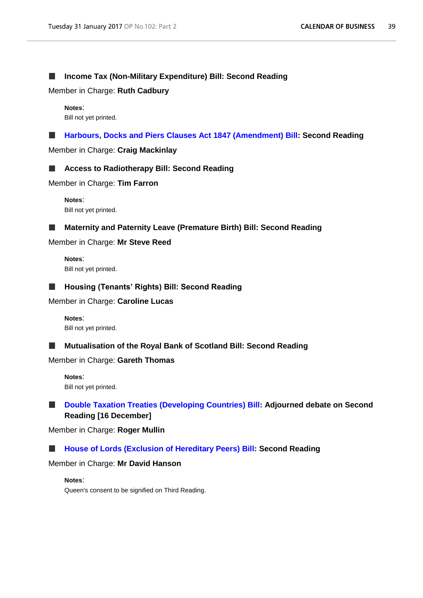#### **Income Tax (Non-Military Expenditure) Bill: Second Reading** ш

Member in Charge: **Ruth Cadbury**

**Notes**: Bill not yet printed.

**[Harbours, Docks and Piers Clauses Act 1847 \(Amendment\) Bill:](http://www.publications.parliament.uk/pa/bills/cbill/2016-2017/0052/17052.pdf) Second Reading**

Member in Charge: **Craig Mackinlay**



Member in Charge: **Tim Farron**

**Notes**: Bill not yet printed.

**Maternity and Paternity Leave (Premature Birth) Bill: Second Reading** ш

Member in Charge: **Mr Steve Reed**

**Notes**: Bill not yet printed.

### **Housing (Tenants' Rights) Bill: Second Reading**

Member in Charge: **Caroline Lucas**

**Notes**: Bill not yet printed.

#### **Mutualisation of the Royal Bank of Scotland Bill: Second Reading** ш

Member in Charge: **Gareth Thomas**

**Notes**: Bill not yet printed.

# **[Double Taxation Treaties \(Developing Countries\) Bill:](http://www.publications.parliament.uk/pa/bills/cbill/2016-2017/0016/17016.pdf) Adjourned debate on Second Reading [16 December]**

Member in Charge: **Roger Mullin**

#### **[House of Lords \(Exclusion of Hereditary Peers\) Bill:](http://www.publications.parliament.uk/pa/bills/cbill/2016-2017/0116/17116.pdf) Second Reading** ш

Member in Charge: **Mr David Hanson**

**Notes**:

Queen's consent to be signified on Third Reading.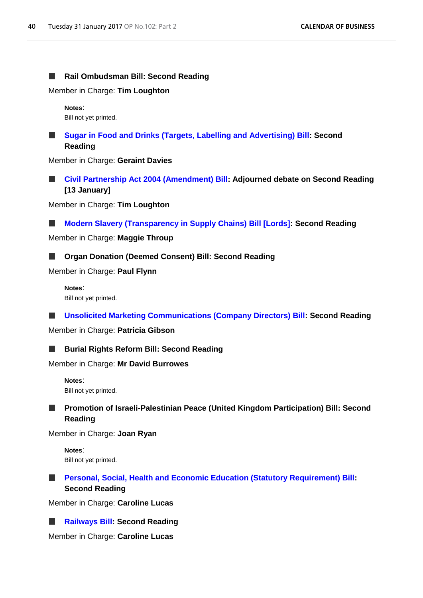#### **Rail Ombudsman Bill: Second Reading**  $\Box$

Member in Charge: **Tim Loughton**

**Notes**: Bill not yet printed.

**[Sugar in Food and Drinks \(Targets, Labelling and Advertising\) Bill:](http://www.publications.parliament.uk/pa/bills/cbill/2016-2017/0070/17070.pdf) Second Reading**

Member in Charge: **Geraint Davies**

**[Civil Partnership Act 2004 \(Amendment\) Bill:](http://www.publications.parliament.uk/pa/bills/cbill/2016-2017/0058/17058.pdf) Adjourned debate on Second Reading [13 January]**

Member in Charge: **Tim Loughton**

**[Modern Slavery \(Transparency in Supply Chains\) Bill \[Lords\]:](http://www.publications.parliament.uk/pa/bills/cbill/2016-2017/0105/17105.pdf) Second Reading** .

Member in Charge: **Maggie Throup**

#### **Organ Donation (Deemed Consent) Bill: Second Reading**

Member in Charge: **Paul Flynn**

**Notes**: Bill not yet printed.

**[Unsolicited Marketing Communications \(Company Directors\) Bill:](http://www.publications.parliament.uk/pa/bills/cbill/2016-2017/0065/17065.pdf) Second Reading** a se

Member in Charge: **Patricia Gibson**

### **Burial Rights Reform Bill: Second Reading**

Member in Charge: **Mr David Burrowes**

**Notes**: Bill not yet printed.

#### **Promotion of Israeli-Palestinian Peace (United Kingdom Participation) Bill: Second The State Reading**

Member in Charge: **Joan Ryan**

**Notes**: Bill not yet printed.

#### **[Personal, Social, Health and Economic Education \(Statutory Requirement\) Bill:](http://www.publications.parliament.uk/pa/bills/cbill/2016-2017/0040/17040.pdf)**   $\Box$ **Second Reading**

Member in Charge: **Caroline Lucas**

```
Railways Bill: Second Reading
```
Member in Charge: **Caroline Lucas**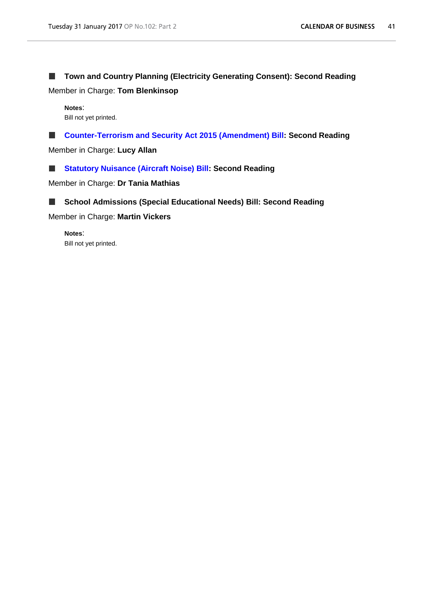#### **Town and Country Planning (Electricity Generating Consent): Second Reading I**

Member in Charge: **Tom Blenkinsop**

**Notes**: Bill not yet printed.

п **[Counter-Terrorism and Security Act 2015 \(Amendment\) Bill:](http://www.publications.parliament.uk/pa/bills/cbill/2016-2017/0024/17024.pdf) Second Reading**

Member in Charge: **Lucy Allan**

**[Statutory Nuisance \(Aircraft Noise\) Bill:](http://www.publications.parliament.uk/pa/bills/cbill/2016-2017/0101/17101.pdf) Second Reading** ш

Member in Charge: **Dr Tania Mathias**



Member in Charge: **Martin Vickers**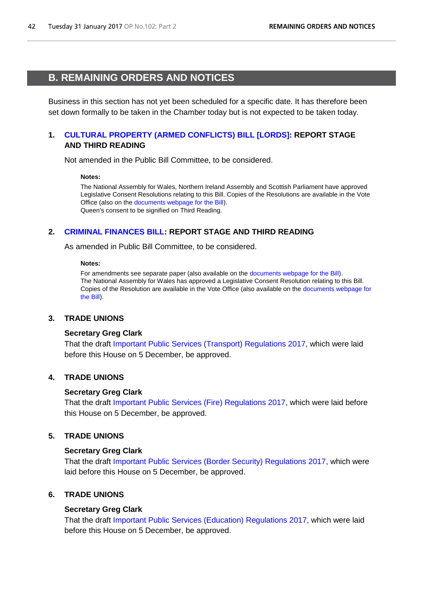# <span id="page-41-1"></span><span id="page-41-0"></span>**B. REMAINING ORDERS AND NOTICES**

Business in this section has not yet been scheduled for a specific date. It has therefore been set down formally to be taken in the Chamber today but is not expected to be taken today.

# **1. [CULTURAL PROPERTY \(ARMED CONFLICTS\) BILL](http://www.publications.parliament.uk/pa/bills/cbill/2016-2017/0066/17066.pdf) [LORDS]: REPORT STAGE AND THIRD READING**

Not amended in the Public Bill Committee, to be considered.

#### **Notes:**

The National Assembly for Wales, Northern Ireland Assembly and Scottish Parliament have approved Legislative Consent Resolutions relating to this Bill. Copies of the Resolutions are available in the Vote Office (also on the [documents webpage for the Bill\)](http://services.parliament.uk/bills/2016-17/culturalpropertyarmedconflicts/documents.html). Queen's consent to be signified on Third Reading.

# **2. [CRIMINAL FINANCES BILL:](http://www.publications.parliament.uk/pa/bills/cbill/2016-2017/0097/17097.pdf) REPORT STAGE AND THIRD READING**

As amended in Public Bill Committee, to be considered.

#### **Notes:**

For amendments see separate paper (also available on the [documents webpage for the Bill\)](http://services.parliament.uk/bills/2016-17/criminalfinances/documents.html). The National Assembly for Wales has approved a Legislative Consent Resolution relating to this Bill. Copies of the Resolution are available in the Vote Office (also available on the [documents webpage for](http://services.parliament.uk/bills/2016-17/criminalfinances/documents.html)  [the Bill\)](http://services.parliament.uk/bills/2016-17/criminalfinances/documents.html).

# **3. TRADE UNIONS**

#### **Secretary Greg Clark**

That the draft Important [Public Services \(Transport\) Regulations 2017,](http://www.legislation.gov.uk/ukdsi/2017/9780111151976/pdfs/ukdsi_9780111151976_en.pdf) which were laid before this House on 5 December, be approved.

# **4. TRADE UNIONS**

# **Secretary Greg Clark**

That the draft [Important Public Services \(Fire\) Regulations 2017,](http://www.legislation.gov.uk/ukdsi/2017/9780111151952/pdfs/ukdsi_9780111151952_en.pdf) which were laid before this House on 5 December, be approved.

# **5. TRADE UNIONS**

# **Secretary Greg Clark**

That the draft [Important Public Services \(Border Security\) Regulations 2017,](http://www.legislation.gov.uk/ukdsi/2017/9780111151938/pdfs/ukdsi_9780111151938_en.pdf) which were laid before this House on 5 December, be approved.

# **6. TRADE UNIONS**

# **Secretary Greg Clark**

That the draft [Important Public Services \(Education\) Regulations 2017,](http://www.legislation.gov.uk/ukdsi/2017/9780111151945/pdfs/ukdsi_9780111151945_en.pdf) which were laid before this House on 5 December, be approved.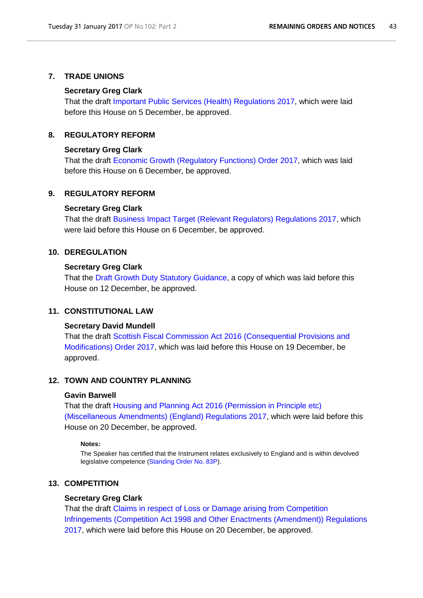### **7. TRADE UNIONS**

#### **Secretary Greg Clark**

That the draft [Important Public Services \(Health\) Regulations 2017,](http://www.legislation.gov.uk/ukdsi/2017/9780111151969/pdfs/ukdsi_9780111151969_en.pdf) which were laid before this House on 5 December, be approved.

# **8. REGULATORY REFORM**

#### **Secretary Greg Clark**

That the draft [Economic Growth \(Regulatory Functions\) Order 2017,](http://www.legislation.gov.uk/ukdsi/2017/9780111151822/pdfs/ukdsi_9780111151822_en.pdf) which was laid before this House on 6 December, be approved.

# **9. REGULATORY REFORM**

#### **Secretary Greg Clark**

That the draft [Business Impact Target \(Relevant Regulators\) Regulations 2017,](http://www.legislation.gov.uk/ukdsi/2017/9780111151846/pdfs/ukdsi_9780111151846_en.pdf) which were laid before this House on 6 December, be approved.

# **10. DEREGULATION**

#### **Secretary Greg Clark**

That the [Draft Growth Duty Statutory Guidance,](https://www.gov.uk/government/uploads/system/uploads/attachment_data/file/574499/growth-duty-statutory-guidance.pdf) a copy of which was laid before this House on 12 December, be approved.

# **11. CONSTITUTIONAL LAW**

#### **Secretary David Mundell**

That the draft [Scottish Fiscal Commission Act 2016 \(Consequential Provisions and](http://www.legislation.gov.uk/ukdsi/2017/9780111152669/pdfs/ukdsi_9780111152669_en.pdf)  [Modifications\) Order 2017,](http://www.legislation.gov.uk/ukdsi/2017/9780111152669/pdfs/ukdsi_9780111152669_en.pdf) which was laid before this House on 19 December, be approved.

## **12. TOWN AND COUNTRY PLANNING**

# **Gavin Barwell**

That the draft [Housing and Planning Act 2016 \(Permission in Principle etc\)](http://www.legislation.gov.uk/ukdsi/2017/9780111152812/pdfs/ukdsi_9780111152812_en.pdf)  [\(Miscellaneous Amendments\) \(England\) Regulations 2017,](http://www.legislation.gov.uk/ukdsi/2017/9780111152812/pdfs/ukdsi_9780111152812_en.pdf) which were laid before this House on 20 December, be approved.

#### **Notes:**

The Speaker has certified that the Instrument relates exclusively to England and is within devolved legislative competence [\(Standing Order No. 83P\)](http://www.publications.parliament.uk/pa/cm201516/cmstords/0002/body.htm#83P).

# **13. COMPETITION**

#### **Secretary Greg Clark**

That the draft [Claims in respect of Loss or Damage arising from Competition](http://www.legislation.gov.uk/ukdsi/2017/9780111152805/pdfs/ukdsi_9780111152805_en.pdf)  [Infringements \(Competition Act 1998 and Other Enactments \(Amendment\)\) Regulations](http://www.legislation.gov.uk/ukdsi/2017/9780111152805/pdfs/ukdsi_9780111152805_en.pdf)  [2017,](http://www.legislation.gov.uk/ukdsi/2017/9780111152805/pdfs/ukdsi_9780111152805_en.pdf) which were laid before this House on 20 December, be approved.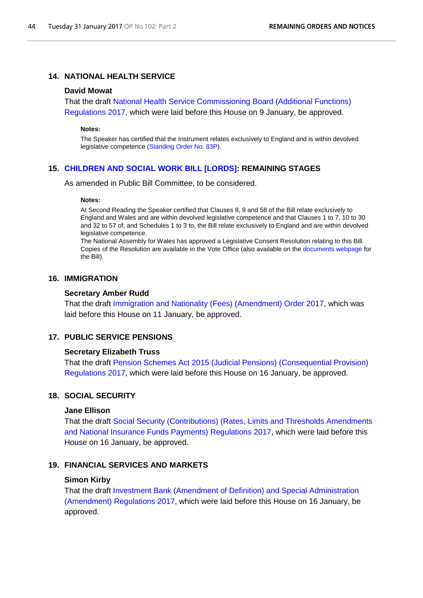# **14. NATIONAL HEALTH SERVICE**

### **David Mowat**

That the draft [National Health Service Commissioning Board \(Additional Functions\)](http://www.legislation.gov.uk/ukdsi/2017/9780111152928/pdfs/ukdsi_9780111152928_en.pdf)  [Regulations 2017,](http://www.legislation.gov.uk/ukdsi/2017/9780111152928/pdfs/ukdsi_9780111152928_en.pdf) which were laid before this House on 9 January, be approved.

#### **Notes:**

The Speaker has certified that the Instrument relates exclusively to England and is within devolved legislative competence [\(Standing Order No. 83P\)](http://www.publications.parliament.uk/pa/cm201516/cmstords/0002/body.htm#83P).

### **15. [CHILDREN AND SOCIAL WORK BILL \[LORDS\]:](http://www.publications.parliament.uk/pa/bills/cbill/2016-2017/0121/17121.pdf) REMAINING STAGES**

As amended in Public Bill Committee, to be considered.

#### **Notes:**

At Second Reading the Speaker certified that Clauses 8, 9 and 58 of the Bill relate exclusively to England and Wales and are within devolved legislative competence and that Clauses 1 to 7, 10 to 30 and 32 to 57 of, and Schedules 1 to 3 to, the Bill relate exclusively to England and are within devolved legislative competence.

The National Assembly for Wales has approved a Legislative Consent Resolution relating to this Bill. Copies of the Resolution are available in the Vote Office (also available on th[e documents webpage](http://services.parliament.uk/bills/2016-17/childrenandsocialwork/documents.html) for the Bill).

# **16. IMMIGRATION**

#### **Secretary Amber Rudd**

That the draft [Immigration and Nationality \(Fees\) \(Amendment\) Order 2017,](http://www.legislation.gov.uk/ukdsi/2017/9780111153017/pdfs/ukdsi_9780111153017_en.pdf) which was laid before this House on 11 January, be approved.

#### **17. PUBLIC SERVICE PENSIONS**

#### **Secretary Elizabeth Truss**

That the draft [Pension Schemes Act 2015 \(Judicial Pensions\) \(Consequential Provision\)](http://www.legislation.gov.uk/ukdsi/2017/9780111153147/pdfs/ukdsi_9780111153147_en.pdf)  [Regulations 2017,](http://www.legislation.gov.uk/ukdsi/2017/9780111153147/pdfs/ukdsi_9780111153147_en.pdf) which were laid before this House on 16 January, be approved.

# **18. SOCIAL SECURITY**

#### **Jane Ellison**

That the draft [Social Security \(Contributions\) \(Rates, Limits and Thresholds Amendments](http://www.legislation.gov.uk/ukdsi/2017/9780111153215/pdfs/ukdsi_9780111153215_en.pdf)  [and National Insurance Funds Payments\)](http://www.legislation.gov.uk/ukdsi/2017/9780111153215/pdfs/ukdsi_9780111153215_en.pdf) Regulations 2017, which were laid before this House on 16 January, be approved.

# **19. FINANCIAL SERVICES AND MARKETS**

#### **Simon Kirby**

That the draft Investment [Bank \(Amendment of Definition\) and Special Administration](http://www.legislation.gov.uk/ukdsi/2017/9780111152980/pdfs/ukdsi_9780111152980_en.pdf)  [\(Amendment\) Regulations 2017,](http://www.legislation.gov.uk/ukdsi/2017/9780111152980/pdfs/ukdsi_9780111152980_en.pdf) which were laid before this House on 16 January, be approved.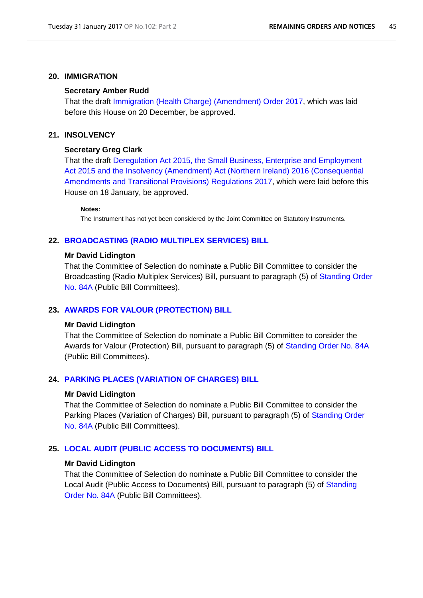### **20. IMMIGRATION**

#### **Secretary Amber Rudd**

That the draft [Immigration \(Health Charge\) \(Amendment\) Order 2017,](http://www.legislation.gov.uk/ukdsi/2017/9780111152829/pdfs/ukdsi_9780111152829_en.pdf) which was laid before this House on 20 December, be approved.

## **21. INSOLVENCY**

#### **Secretary Greg Clark**

That the draft [Deregulation Act 2015, the Small Business, Enterprise and Employment](http://www.legislation.gov.uk/ukdsi/2017/9780111153246/pdfs/ukdsi_9780111153246_en.pdf)  [Act 2015 and the Insolvency \(Amendment\) Act \(Northern Ireland\) 2016 \(Consequential](http://www.legislation.gov.uk/ukdsi/2017/9780111153246/pdfs/ukdsi_9780111153246_en.pdf)  [Amendments and Transitional Provisions\) Regulations 2017,](http://www.legislation.gov.uk/ukdsi/2017/9780111153246/pdfs/ukdsi_9780111153246_en.pdf) which were laid before this House on 18 January, be approved.

#### **Notes:**

The Instrument has not yet been considered by the Joint Committee on Statutory Instruments.

### **22. [BROADCASTING \(RADIO MULTIPLEX SERVICES\) BILL](http://www.publications.parliament.uk/pa/bills/cbill/2016-2017/0028/17028.pdf)**

#### **Mr David Lidington**

That the Committee of Selection do nominate a Public Bill Committee to consider the Broadcasting (Radio Multiplex Services) Bill, pursuant to paragraph (5) of [Standing Order](http://www.publications.parliament.uk/pa/cm201516/cmstords/0002/body.htm#84A)  [No. 84A](http://www.publications.parliament.uk/pa/cm201516/cmstords/0002/body.htm#84A) (Public Bill Committees).

#### **23. [AWARDS FOR VALOUR \(PROTECTION\) BILL](http://www.publications.parliament.uk/pa/bills/cbill/2016-2017/0010/17010.pdf)**

#### **Mr David Lidington**

That the Committee of Selection do nominate a Public Bill Committee to consider the Awards for Valour (Protection) Bill, pursuant to paragraph (5) of [Standing Order No. 84A](http://www.publications.parliament.uk/pa/cm201516/cmstords/0002/body.htm#84A) (Public Bill Committees).

# **24. [PARKING PLACES \(VARIATION OF CHARGES\) BILL](http://www.publications.parliament.uk/pa/bills/cbill/2016-2017/0018/17018.pdf)**

#### **Mr David Lidington**

That the Committee of Selection do nominate a Public Bill Committee to consider the Parking Places (Variation of Charges) Bill, pursuant to paragraph (5) of Standing Order [No. 84A](http://www.publications.parliament.uk/pa/cm201516/cmstords/0002/body.htm#84A) (Public Bill Committees).

# **25. [LOCAL AUDIT \(PUBLIC ACCESS TO DOCUMENTS\)](http://www.publications.parliament.uk/pa/bills/cbill/2016-2017/0031/17031.pdf) BILL**

#### **Mr David Lidington**

That the Committee of Selection do nominate a Public Bill Committee to consider the Local Audit (Public Access to Documents) Bill, pursuant to paragraph (5) of [Standing](http://www.publications.parliament.uk/pa/cm201516/cmstords/0002/body.htm#84A)  [Order No. 84A](http://www.publications.parliament.uk/pa/cm201516/cmstords/0002/body.htm#84A) (Public Bill Committees).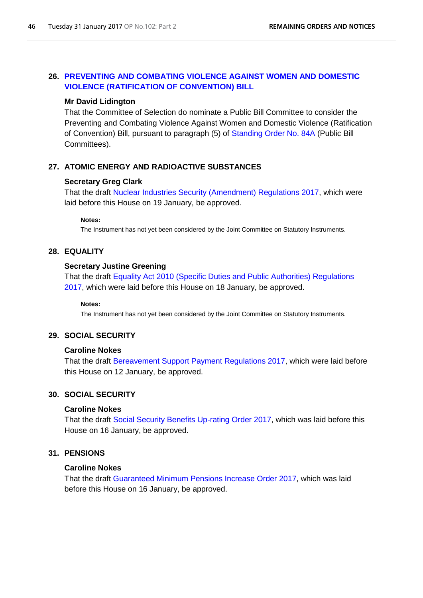# **26. [PREVENTING AND COMBATING VIOLENCE AGAINST WOMEN AND DOMESTIC](http://www.publications.parliament.uk/pa/bills/cbill/2016-2017/0012/17012.pdf) [VIOLENCE \(RATIFICATION OF CONVENTION\) BILL](http://www.publications.parliament.uk/pa/bills/cbill/2016-2017/0012/17012.pdf)**

#### **Mr David Lidington**

That the Committee of Selection do nominate a Public Bill Committee to consider the Preventing and Combating Violence Against Women and Domestic Violence (Ratification of Convention) Bill, pursuant to paragraph (5) of [Standing Order No. 84A](http://www.publications.parliament.uk/pa/cm201516/cmstords/0002/body.htm#84A) (Public Bill Committees).

# **27. ATOMIC ENERGY AND RADIOACTIVE SUBSTANCES**

#### **Secretary Greg Clark**

That the draft [Nuclear Industries Security \(Amendment\) Regulations 2017,](http://www.legislation.gov.uk/ukdsi/2017/9780111152935/pdfs/ukdsi_9780111152935_en.pdf) which were laid before this House on 19 January, be approved.

#### **Notes:**

The Instrument has not yet been considered by the Joint Committee on Statutory Instruments.

### **28. EQUALITY**

### **Secretary Justine Greening**

That the draft [Equality Act 2010 \(Specific Duties and Public Authorities\) Regulations](http://www.legislation.gov.uk/ukdsi/2017/9780111153277/pdfs/ukdsi_9780111153277_en.pdf)  [2017,](http://www.legislation.gov.uk/ukdsi/2017/9780111153277/pdfs/ukdsi_9780111153277_en.pdf) which were laid before this House on 18 January, be approved.

#### **Notes:**

The Instrument has not yet been considered by the Joint Committee on Statutory Instruments.

# **29. SOCIAL SECURITY**

#### **Caroline Nokes**

That the draft [Bereavement Support Payment Regulations 2017,](http://www.legislation.gov.uk/ukdsi/2017/9780111153062/pdfs/ukdsi_9780111153062_en.pdf) which were laid before this House on 12 January, be approved.

# **30. SOCIAL SECURITY**

# **Caroline Nokes**

That the draft [Social Security Benefits Up-rating Order 2017,](http://www.legislation.gov.uk/ukdsi/2017/9780111153116/pdfs/ukdsi_9780111153116_en.pdf) which was laid before this House on 16 January, be approved.

#### **31. PENSIONS**

#### **Caroline Nokes**

That the draft [Guaranteed Minimum Pensions Increase Order 2017,](http://www.legislation.gov.uk/ukdsi/2017/9780111152997/pdfs/ukdsi_9780111152997_en.pdf) which was laid before this House on 16 January, be approved.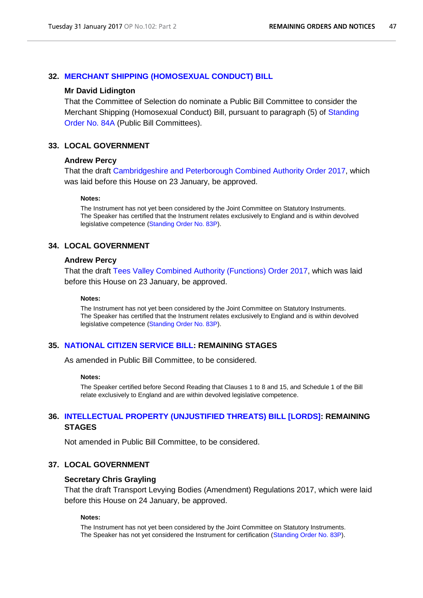# **32. [MERCHANT SHIPPING \(HOMOSEXUAL CONDUCT\) BILL](http://www.publications.parliament.uk/pa/bills/cbill/2016-2017/0023/17023.pdf)**

#### **Mr David Lidington**

That the Committee of Selection do nominate a Public Bill Committee to consider the Merchant Shipping (Homosexual Conduct) Bill, pursuant to paragraph (5) of [Standing](http://www.publications.parliament.uk/pa/cm201516/cmstords/0002/body.htm#84A)  [Order No. 84A](http://www.publications.parliament.uk/pa/cm201516/cmstords/0002/body.htm#84A) (Public Bill Committees).

### **33. LOCAL GOVERNMENT**

# **Andrew Percy**

That the draft [Cambridgeshire and Peterborough Combined Authority Order 2017,](http://www.legislation.gov.uk/ukdsi/2017/9780111153291/pdfs/ukdsi_9780111153291_en.pdf) which was laid before this House on 23 January, be approved.

#### **Notes:**

The Instrument has not yet been considered by the Joint Committee on Statutory Instruments. The Speaker has certified that the Instrument relates exclusively to England and is within devolved legislative competence [\(Standing Order No. 83P\)](http://www.publications.parliament.uk/pa/cm201516/cmstords/0002/body.htm#83P).

### **34. LOCAL GOVERNMENT**

#### **Andrew Percy**

That the draft [Tees Valley Combined Authority \(Functions\) Order 2017,](http://www.legislation.gov.uk/ukdsi/2017/9780111153307/pdfs/ukdsi_9780111153307_en.pdf) which was laid before this House on 23 January, be approved.

#### **Notes:**

The Instrument has not yet been considered by the Joint Committee on Statutory Instruments. The Speaker has certified that the Instrument relates exclusively to England and is within devolved legislative competence [\(Standing Order No. 83P\)](http://www.publications.parliament.uk/pa/cm201516/cmstords/0002/body.htm#83P).

# **35. [NATIONAL CITIZEN SERVICE BILL:](http://www.publications.parliament.uk/pa/bills/cbill/2016-2017/0130/17130.pdf) REMAINING STAGES**

As amended in Public Bill Committee, to be considered.

#### **Notes:**

The Speaker certified before Second Reading that Clauses 1 to 8 and 15, and Schedule 1 of the Bill relate exclusively to England and are within devolved legislative competence.

# **36. [INTELLECTUAL PROPERTY \(UNJUSTIFIED THREATS\) BILL \[LORDS\]:](http://www.publications.parliament.uk/pa/bills/cbill/2016-2017/0113/17113.pdf) REMAINING STAGES**

Not amended in Public Bill Committee, to be considered.

# **37. LOCAL GOVERNMENT**

### **Secretary Chris Grayling**

That the draft Transport Levying Bodies (Amendment) Regulations 2017, which were laid before this House on 24 January, be approved.

#### **Notes:**

The Instrument has not yet been considered by the Joint Committee on Statutory Instruments. The Speaker has not yet considered the Instrument for certification [\(Standing Order No. 83P\)](http://www.publications.parliament.uk/pa/cm201516/cmstords/0002/body.htm#83P).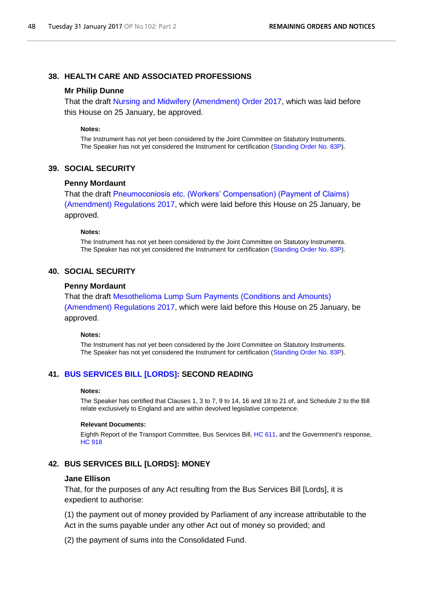# **38. HEALTH CARE AND ASSOCIATED PROFESSIONS**

#### **Mr Philip Dunne**

That the draft [Nursing and Midwifery \(Amendment\) Order 2017,](http://www.legislation.gov.uk/ukdsi/2017/9780111153123/pdfs/ukdsi_9780111153123_en.pdf) which was laid before this House on 25 January, be approved.

#### **Notes:**

The Instrument has not yet been considered by the Joint Committee on Statutory Instruments. The Speaker has not yet considered the Instrument for certification [\(Standing Order No. 83P\)](http://www.publications.parliament.uk/pa/cm201516/cmstords/0002/body.htm#83P).

# **39. SOCIAL SECURITY**

#### **Penny Mordaunt**

That the draft [Pneumoconiosis etc. \(Workers' Compensation\) \(Payment of Claims\)](http://www.legislation.gov.uk/ukdsi/2017/9780111153352/pdfs/ukdsi_9780111153352_en.pdf)  [\(Amendment\) Regulations 2017,](http://www.legislation.gov.uk/ukdsi/2017/9780111153352/pdfs/ukdsi_9780111153352_en.pdf) which were laid before this House on 25 January, be approved.

#### **Notes:**

The Instrument has not yet been considered by the Joint Committee on Statutory Instruments. The Speaker has not yet considered the Instrument for certification [\(Standing Order No. 83P\)](http://www.publications.parliament.uk/pa/cm201516/cmstords/0002/body.htm#83P).

### **40. SOCIAL SECURITY**

#### **Penny Mordaunt**

That the draft [Mesothelioma Lump Sum Payments \(Conditions and Amounts\)](http://www.legislation.gov.uk/ukdsi/2017/9780111153345/pdfs/ukdsi_9780111153345_en.pdf)  (Amendment) [Regulations 2017,](http://www.legislation.gov.uk/ukdsi/2017/9780111153345/pdfs/ukdsi_9780111153345_en.pdf) which were laid before this House on 25 January, be approved.

#### **Notes:**

The Instrument has not yet been considered by the Joint Committee on Statutory Instruments. The Speaker has not yet considered the Instrument for certification [\(Standing Order No. 83P\)](http://www.publications.parliament.uk/pa/cm201516/cmstords/0002/body.htm#83P).

# **41. [BUS SERVICES BILL \[LORDS\]:](http://www.publications.parliament.uk/pa/bills/cbill/2016-2017/0100/17100.pdf) SECOND READING**

#### **Notes:**

The Speaker has certified that Clauses 1, 3 to 7, 9 to 14, 16 and 18 to 21 of, and Schedule 2 to the Bill relate exclusively to England and are within devolved legislative competence.

#### **Relevant Documents:**

Eighth Report of the Transport Committee, Bus Services Bill[, HC 611,](http://www.publications.parliament.uk/pa/cm201617/cmselect/cmtrans/611/611.pdf) and the Government's response, [HC 918](http://www.publications.parliament.uk/pa/cm201617/cmselect/cmtrans/918/918.pdf)

# **42. BUS SERVICES BILL [LORDS]: MONEY**

### **Jane Ellison**

That, for the purposes of any Act resulting from the Bus Services Bill [Lords], it is expedient to authorise:

(1) the payment out of money provided by Parliament of any increase attributable to the Act in the sums payable under any other Act out of money so provided; and

(2) the payment of sums into the Consolidated Fund.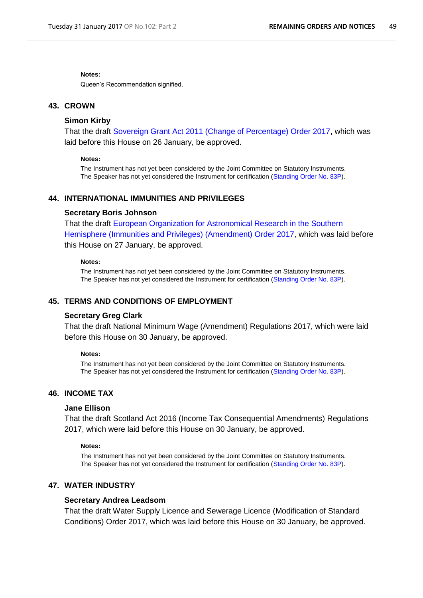#### **Notes:**

Queen's Recommendation signified.

### **43. CROWN**

# **Simon Kirby**

That the draft [Sovereign Grant Act 2011 \(Change of Percentage\) Order 2017,](http://www.legislation.gov.uk/ukdsi/2017/9780111153468/pdfs/ukdsi_9780111153468_en.pdf) which was laid before this House on 26 January, be approved.

#### **Notes:**

The Instrument has not yet been considered by the Joint Committee on Statutory Instruments. The Speaker has not yet considered the Instrument for certification [\(Standing Order No. 83P\)](http://www.publications.parliament.uk/pa/cm201516/cmstords/0002/body.htm#83P).

# **44. INTERNATIONAL IMMUNITIES AND PRIVILEGES**

#### **Secretary Boris Johnson**

That the draft [European Organization for Astronomical Research in the Southern](http://www.legislation.gov.uk/ukdsi/2017/9780111153369/pdfs/ukdsi_9780111153369_en.pdf)  [Hemisphere \(Immunities and Privileges\) \(Amendment\) Order 2017,](http://www.legislation.gov.uk/ukdsi/2017/9780111153369/pdfs/ukdsi_9780111153369_en.pdf) which was laid before this House on 27 January, be approved.

### **Notes:**

The Instrument has not yet been considered by the Joint Committee on Statutory Instruments. The Speaker has not yet considered the Instrument for certification [\(Standing Order No. 83P\)](http://www.publications.parliament.uk/pa/cm201516/cmstords/0002/body.htm#83P).

### **45. TERMS AND CONDITIONS OF EMPLOYMENT**

#### **Secretary Greg Clark**

That the draft National Minimum Wage (Amendment) Regulations 2017, which were laid before this House on 30 January, be approved.

#### **Notes:**

The Instrument has not yet been considered by the Joint Committee on Statutory Instruments. The Speaker has not yet considered the Instrument for certification [\(Standing Order No. 83P\)](http://www.publications.parliament.uk/pa/cm201516/cmstords/0002/body.htm#83P).

# **46. INCOME TAX**

## **Jane Ellison**

That the draft Scotland Act 2016 (Income Tax Consequential Amendments) Regulations 2017, which were laid before this House on 30 January, be approved.

#### **Notes:**

The Instrument has not yet been considered by the Joint Committee on Statutory Instruments. The Speaker has not yet considered the Instrument for certification [\(Standing Order No. 83P\)](http://www.publications.parliament.uk/pa/cm201516/cmstords/0002/body.htm#83P).

# **47. WATER INDUSTRY**

#### **Secretary Andrea Leadsom**

That the draft Water Supply Licence and Sewerage Licence (Modification of Standard Conditions) Order 2017, which was laid before this House on 30 January, be approved.